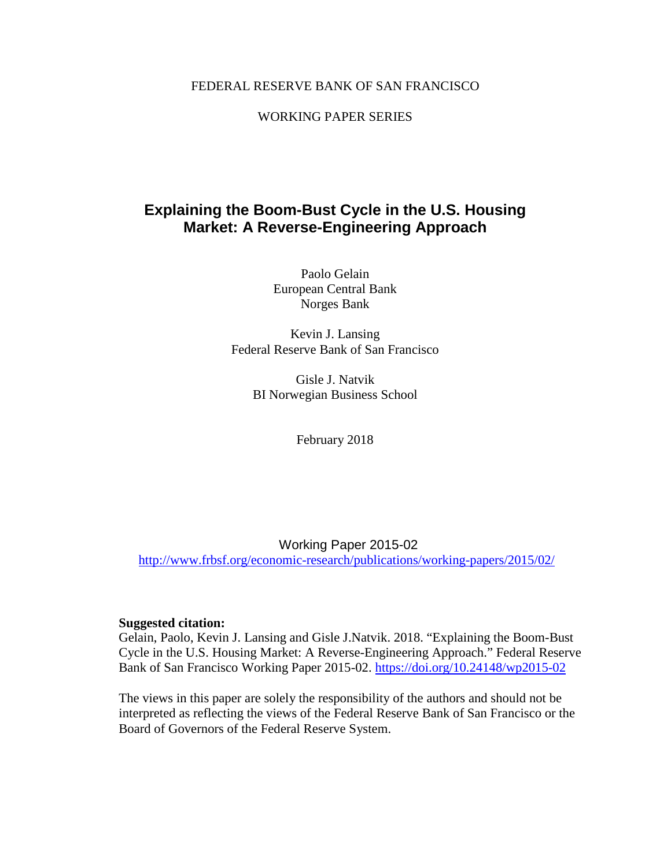### FEDERAL RESERVE BANK OF SAN FRANCISCO

### WORKING PAPER SERIES

## **Explaining the Boom-Bust Cycle in the U.S. Housing Market: A Reverse-Engineering Approach**

Paolo Gelain European Central Bank Norges Bank

Kevin J. Lansing Federal Reserve Bank of San Francisco

> Gisle J. Natvik BI Norwegian Business School

> > February 2018

Working Paper 2015-02 <http://www.frbsf.org/economic-research/publications/working-papers/2015/02/>

#### **Suggested citation:**

Gelain, Paolo, Kevin J. Lansing and Gisle J.Natvik. 2018. "Explaining the Boom-Bust Cycle in the U.S. Housing Market: A Reverse-Engineering Approach." Federal Reserve Bank of San Francisco Working Paper 2015-02.<https://doi.org/10.24148/wp2015-02>

interpreted as reflecting the views of the Federal Reserve Bank of San Francisco or the Board of Governors of the Federal Reserve System.

The views in this paper are solely the responsibility of the authors and should not be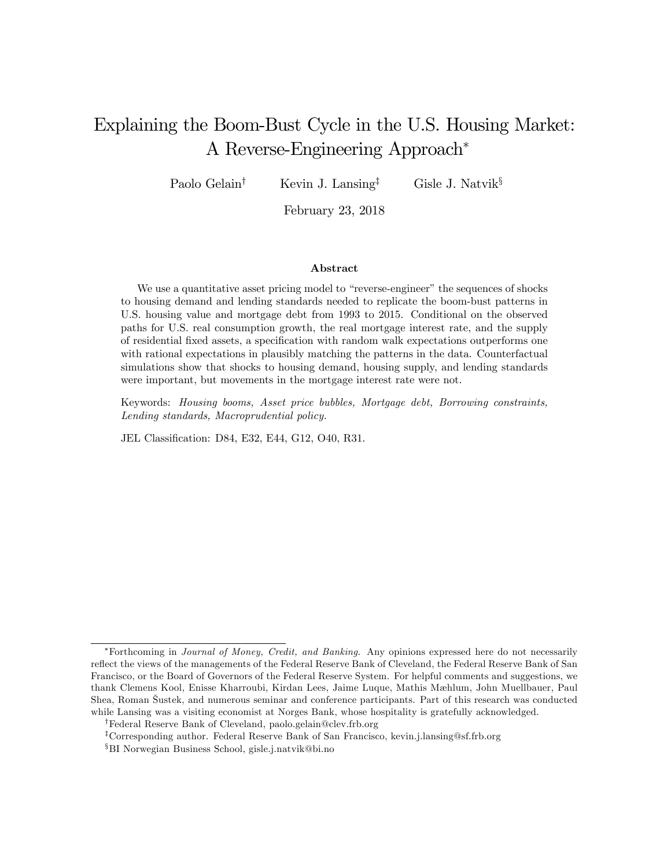# Explaining the Boom-Bust Cycle in the U.S. Housing Market: A Reverse-Engineering Approach

Paolo Gelain<sup>†</sup> Kevin J. Lansing<sup>‡</sup> Gisle J. Natvik<sup>§</sup>

February 23, 2018

#### Abstract

We use a quantitative asset pricing model to "reverse-engineer" the sequences of shocks to housing demand and lending standards needed to replicate the boom-bust patterns in U.S. housing value and mortgage debt from 1993 to 2015. Conditional on the observed paths for U.S. real consumption growth, the real mortgage interest rate, and the supply of residential fixed assets, a specification with random walk expectations outperforms one with rational expectations in plausibly matching the patterns in the data. Counterfactual simulations show that shocks to housing demand, housing supply, and lending standards were important, but movements in the mortgage interest rate were not.

Keywords: Housing booms, Asset price bubbles, Mortgage debt, Borrowing constraints, Lending standards, Macroprudential policy.

JEL Classification: D84, E32, E44, G12, O40, R31.

<sup>\*</sup>Forthcoming in Journal of Money, Credit, and Banking. Any opinions expressed here do not necessarily reflect the views of the managements of the Federal Reserve Bank of Cleveland, the Federal Reserve Bank of San Francisco, or the Board of Governors of the Federal Reserve System. For helpful comments and suggestions, we thank Clemens Kool, Enisse Kharroubi, Kirdan Lees, Jaime Luque, Mathis Mæhlum, John Muellbauer, Paul Shea, Roman äustek, and numerous seminar and conference participants. Part of this research was conducted while Lansing was a visiting economist at Norges Bank, whose hospitality is gratefully acknowledged.

<sup>&</sup>lt;sup>†</sup>Federal Reserve Bank of Cleveland, paolo.gelain@clev.frb.org

<sup>&</sup>lt;sup>‡</sup>Corresponding author. Federal Reserve Bank of San Francisco, kevin.j.lansing@sf.frb.org

<sup>&</sup>lt;sup>§</sup>BI Norwegian Business School, gisle.j.natvik@bi.no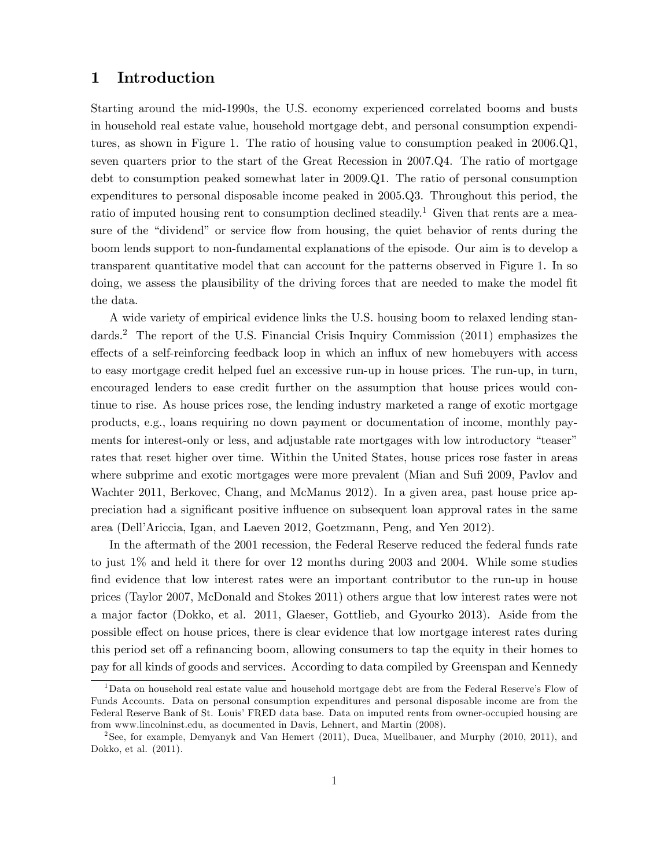### 1 Introduction

Starting around the mid-1990s, the U.S. economy experienced correlated booms and busts in household real estate value, household mortgage debt, and personal consumption expenditures, as shown in Figure 1. The ratio of housing value to consumption peaked in 2006.Q1, seven quarters prior to the start of the Great Recession in 2007.Q4. The ratio of mortgage debt to consumption peaked somewhat later in 2009.Q1. The ratio of personal consumption expenditures to personal disposable income peaked in 2005.Q3. Throughout this period, the ratio of imputed housing rent to consumption declined steadily.<sup>1</sup> Given that rents are a measure of the "dividend" or service flow from housing, the quiet behavior of rents during the boom lends support to non-fundamental explanations of the episode. Our aim is to develop a transparent quantitative model that can account for the patterns observed in Figure 1. In so doing, we assess the plausibility of the driving forces that are needed to make the model fit the data.

A wide variety of empirical evidence links the U.S. housing boom to relaxed lending standards.<sup>2</sup> The report of the U.S. Financial Crisis Inquiry Commission (2011) emphasizes the effects of a self-reinforcing feedback loop in which an influx of new homebuyers with access to easy mortgage credit helped fuel an excessive run-up in house prices. The run-up, in turn, encouraged lenders to ease credit further on the assumption that house prices would continue to rise. As house prices rose, the lending industry marketed a range of exotic mortgage products, e.g., loans requiring no down payment or documentation of income, monthly payments for interest-only or less, and adjustable rate mortgages with low introductory "teaser" rates that reset higher over time. Within the United States, house prices rose faster in areas where subprime and exotic mortgages were more prevalent (Mian and Sufi 2009, Pavlov and Wachter 2011, Berkovec, Chang, and McManus 2012). In a given area, past house price appreciation had a significant positive influence on subsequent loan approval rates in the same area (DellíAriccia, Igan, and Laeven 2012, Goetzmann, Peng, and Yen 2012).

In the aftermath of the 2001 recession, the Federal Reserve reduced the federal funds rate to just 1% and held it there for over 12 months during 2003 and 2004. While some studies find evidence that low interest rates were an important contributor to the run-up in house prices (Taylor 2007, McDonald and Stokes 2011) others argue that low interest rates were not a major factor (Dokko, et al. 2011, Glaeser, Gottlieb, and Gyourko 2013). Aside from the possible effect on house prices, there is clear evidence that low mortgage interest rates during this period set of a refinancing boom, allowing consumers to tap the equity in their homes to pay for all kinds of goods and services. According to data compiled by Greenspan and Kennedy

 $1<sup>1</sup>$ Data on household real estate value and household mortgage debt are from the Federal Reserve's Flow of Funds Accounts. Data on personal consumption expenditures and personal disposable income are from the Federal Reserve Bank of St. Louis' FRED data base. Data on imputed rents from owner-occupied housing are from www.lincolninst.edu, as documented in Davis, Lehnert, and Martin (2008).

<sup>2</sup> See, for example, Demyanyk and Van Hemert (2011), Duca, Muellbauer, and Murphy (2010, 2011), and Dokko, et al. (2011).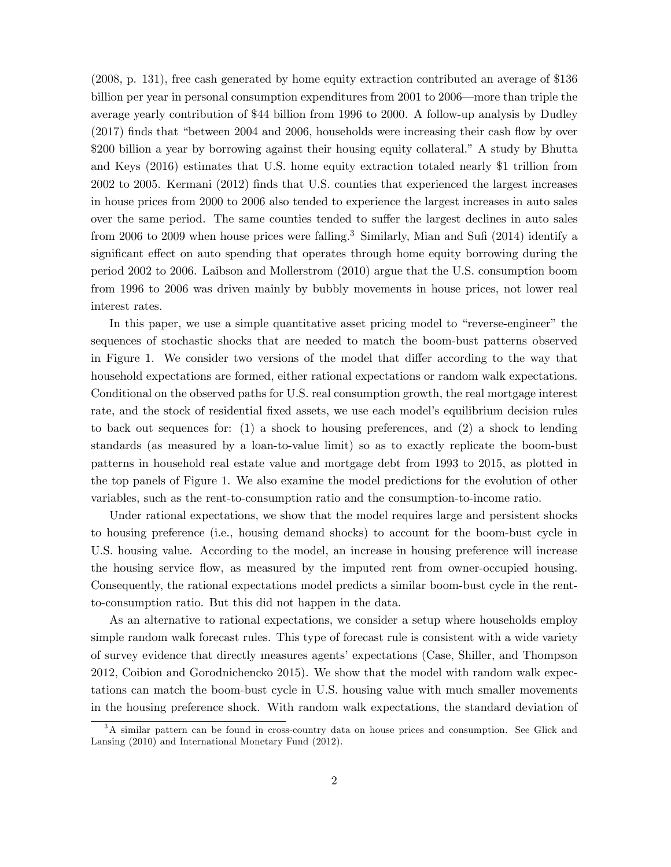(2008, p. 131), free cash generated by home equity extraction contributed an average of \$136 billion per year in personal consumption expenditures from  $2001$  to  $2006$ —more than triple the average yearly contribution of \$44 billion from 1996 to 2000. A follow-up analysis by Dudley  $(2017)$  finds that "between 2004 and 2006, households were increasing their cash flow by over \$200 billion a year by borrowing against their housing equity collateral." A study by Bhutta and Keys (2016) estimates that U.S. home equity extraction totaled nearly \$1 trillion from 2002 to 2005. Kermani (2012) Önds that U.S. counties that experienced the largest increases in house prices from 2000 to 2006 also tended to experience the largest increases in auto sales over the same period. The same counties tended to suffer the largest declines in auto sales from 2006 to 2009 when house prices were falling.<sup>3</sup> Similarly, Mian and Sufi (2014) identify a significant effect on auto spending that operates through home equity borrowing during the period 2002 to 2006. Laibson and Mollerstrom (2010) argue that the U.S. consumption boom from 1996 to 2006 was driven mainly by bubbly movements in house prices, not lower real interest rates.

In this paper, we use a simple quantitative asset pricing model to "reverse-engineer" the sequences of stochastic shocks that are needed to match the boom-bust patterns observed in Figure 1. We consider two versions of the model that differ according to the way that household expectations are formed, either rational expectations or random walk expectations. Conditional on the observed paths for U.S. real consumption growth, the real mortgage interest rate, and the stock of residential fixed assets, we use each model's equilibrium decision rules to back out sequences for: (1) a shock to housing preferences, and (2) a shock to lending standards (as measured by a loan-to-value limit) so as to exactly replicate the boom-bust patterns in household real estate value and mortgage debt from 1993 to 2015, as plotted in the top panels of Figure 1. We also examine the model predictions for the evolution of other variables, such as the rent-to-consumption ratio and the consumption-to-income ratio.

Under rational expectations, we show that the model requires large and persistent shocks to housing preference (i.e., housing demand shocks) to account for the boom-bust cycle in U.S. housing value. According to the model, an increase in housing preference will increase the housing service flow, as measured by the imputed rent from owner-occupied housing. Consequently, the rational expectations model predicts a similar boom-bust cycle in the rentto-consumption ratio. But this did not happen in the data.

As an alternative to rational expectations, we consider a setup where households employ simple random walk forecast rules. This type of forecast rule is consistent with a wide variety of survey evidence that directly measures agents' expectations (Case, Shiller, and Thompson 2012, Coibion and Gorodnichencko 2015). We show that the model with random walk expectations can match the boom-bust cycle in U.S. housing value with much smaller movements in the housing preference shock. With random walk expectations, the standard deviation of

<sup>&</sup>lt;sup>3</sup>A similar pattern can be found in cross-country data on house prices and consumption. See Glick and Lansing (2010) and International Monetary Fund (2012).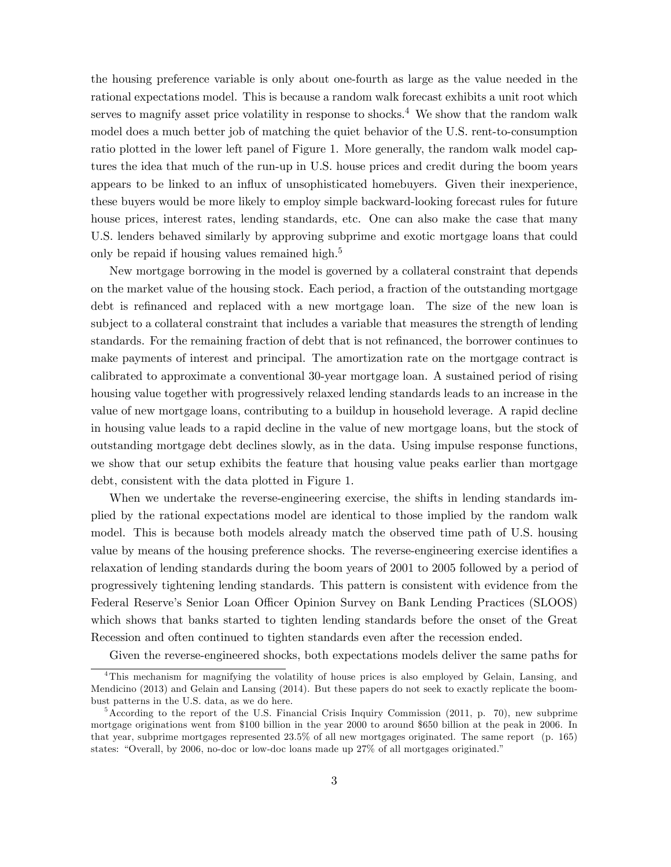the housing preference variable is only about one-fourth as large as the value needed in the rational expectations model. This is because a random walk forecast exhibits a unit root which serves to magnify asset price volatility in response to shocks.<sup>4</sup> We show that the random walk model does a much better job of matching the quiet behavior of the U.S. rent-to-consumption ratio plotted in the lower left panel of Figure 1. More generally, the random walk model captures the idea that much of the run-up in U.S. house prices and credit during the boom years appears to be linked to an ináux of unsophisticated homebuyers. Given their inexperience, these buyers would be more likely to employ simple backward-looking forecast rules for future house prices, interest rates, lending standards, etc. One can also make the case that many U.S. lenders behaved similarly by approving subprime and exotic mortgage loans that could only be repaid if housing values remained high.<sup>5</sup>

New mortgage borrowing in the model is governed by a collateral constraint that depends on the market value of the housing stock. Each period, a fraction of the outstanding mortgage debt is refinanced and replaced with a new mortgage loan. The size of the new loan is subject to a collateral constraint that includes a variable that measures the strength of lending standards. For the remaining fraction of debt that is not refinanced, the borrower continues to make payments of interest and principal. The amortization rate on the mortgage contract is calibrated to approximate a conventional 30-year mortgage loan. A sustained period of rising housing value together with progressively relaxed lending standards leads to an increase in the value of new mortgage loans, contributing to a buildup in household leverage. A rapid decline in housing value leads to a rapid decline in the value of new mortgage loans, but the stock of outstanding mortgage debt declines slowly, as in the data. Using impulse response functions, we show that our setup exhibits the feature that housing value peaks earlier than mortgage debt, consistent with the data plotted in Figure 1.

When we undertake the reverse-engineering exercise, the shifts in lending standards implied by the rational expectations model are identical to those implied by the random walk model. This is because both models already match the observed time path of U.S. housing value by means of the housing preference shocks. The reverse-engineering exercise identifies a relaxation of lending standards during the boom years of 2001 to 2005 followed by a period of progressively tightening lending standards. This pattern is consistent with evidence from the Federal Reserve's Senior Loan Officer Opinion Survey on Bank Lending Practices (SLOOS) which shows that banks started to tighten lending standards before the onset of the Great Recession and often continued to tighten standards even after the recession ended.

Given the reverse-engineered shocks, both expectations models deliver the same paths for

<sup>4</sup>This mechanism for magnifying the volatility of house prices is also employed by Gelain, Lansing, and Mendicino (2013) and Gelain and Lansing (2014). But these papers do not seek to exactly replicate the boombust patterns in the U.S. data, as we do here.

 $5$ According to the report of the U.S. Financial Crisis Inquiry Commission (2011, p. 70), new subprime mortgage originations went from \$100 billion in the year 2000 to around \$650 billion at the peak in 2006. In that year, subprime mortgages represented 23.5% of all new mortgages originated. The same report (p. 165) states: "Overall, by 2006, no-doc or low-doc loans made up  $27\%$  of all mortgages originated."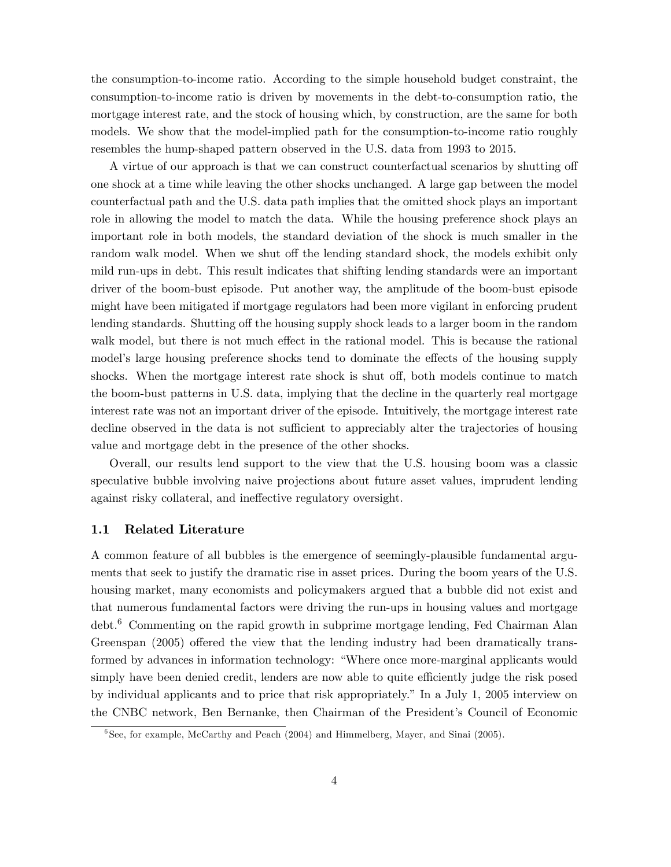the consumption-to-income ratio. According to the simple household budget constraint, the consumption-to-income ratio is driven by movements in the debt-to-consumption ratio, the mortgage interest rate, and the stock of housing which, by construction, are the same for both models. We show that the model-implied path for the consumption-to-income ratio roughly resembles the hump-shaped pattern observed in the U.S. data from 1993 to 2015.

A virtue of our approach is that we can construct counterfactual scenarios by shutting of one shock at a time while leaving the other shocks unchanged. A large gap between the model counterfactual path and the U.S. data path implies that the omitted shock plays an important role in allowing the model to match the data. While the housing preference shock plays an important role in both models, the standard deviation of the shock is much smaller in the random walk model. When we shut off the lending standard shock, the models exhibit only mild run-ups in debt. This result indicates that shifting lending standards were an important driver of the boom-bust episode. Put another way, the amplitude of the boom-bust episode might have been mitigated if mortgage regulators had been more vigilant in enforcing prudent lending standards. Shutting off the housing supply shock leads to a larger boom in the random walk model, but there is not much effect in the rational model. This is because the rational model's large housing preference shocks tend to dominate the effects of the housing supply shocks. When the mortgage interest rate shock is shut off, both models continue to match the boom-bust patterns in U.S. data, implying that the decline in the quarterly real mortgage interest rate was not an important driver of the episode. Intuitively, the mortgage interest rate decline observed in the data is not sufficient to appreciably alter the trajectories of housing value and mortgage debt in the presence of the other shocks.

Overall, our results lend support to the view that the U.S. housing boom was a classic speculative bubble involving naive projections about future asset values, imprudent lending against risky collateral, and ineffective regulatory oversight.

#### 1.1 Related Literature

A common feature of all bubbles is the emergence of seemingly-plausible fundamental arguments that seek to justify the dramatic rise in asset prices. During the boom years of the U.S. housing market, many economists and policymakers argued that a bubble did not exist and that numerous fundamental factors were driving the run-ups in housing values and mortgage debt.<sup>6</sup> Commenting on the rapid growth in subprime mortgage lending, Fed Chairman Alan Greenspan  $(2005)$  offered the view that the lending industry had been dramatically transformed by advances in information technology: "Where once more-marginal applicants would simply have been denied credit, lenders are now able to quite efficiently judge the risk posed by individual applicants and to price that risk appropriately.î In a July 1, 2005 interview on the CNBC network, Ben Bernanke, then Chairman of the President's Council of Economic

<sup>&</sup>lt;sup>6</sup>See, for example, McCarthy and Peach (2004) and Himmelberg, Mayer, and Sinai (2005).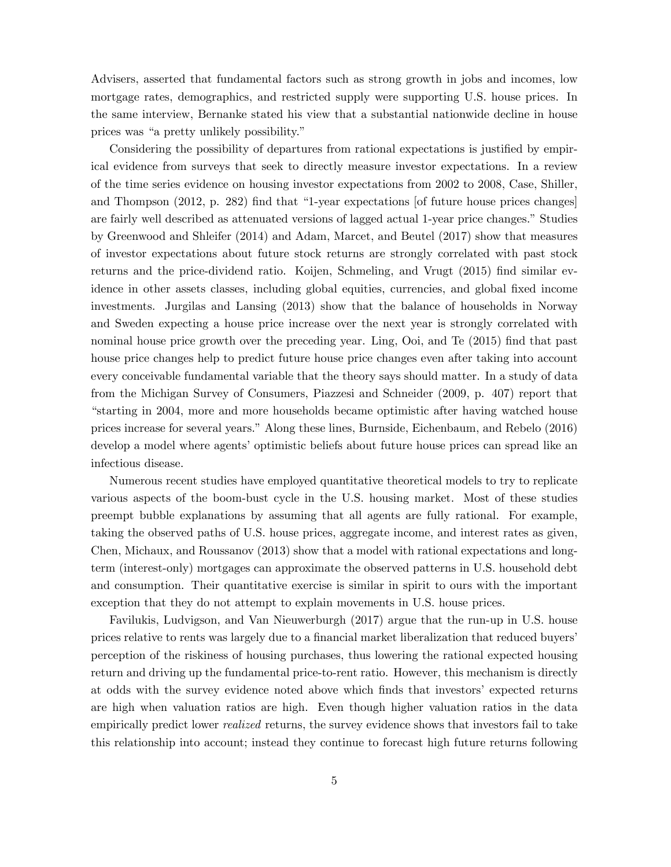Advisers, asserted that fundamental factors such as strong growth in jobs and incomes, low mortgage rates, demographics, and restricted supply were supporting U.S. house prices. In the same interview, Bernanke stated his view that a substantial nationwide decline in house prices was "a pretty unlikely possibility."

Considering the possibility of departures from rational expectations is justified by empirical evidence from surveys that seek to directly measure investor expectations. In a review of the time series evidence on housing investor expectations from 2002 to 2008, Case, Shiller, and Thompson  $(2012, p. 282)$  find that "1-year expectations [of future house prices changes] are fairly well described as attenuated versions of lagged actual 1-year price changes." Studies by Greenwood and Shleifer (2014) and Adam, Marcet, and Beutel (2017) show that measures of investor expectations about future stock returns are strongly correlated with past stock returns and the price-dividend ratio. Koijen, Schmeling, and Vrugt (2015) find similar evidence in other assets classes, including global equities, currencies, and global fixed income investments. Jurgilas and Lansing (2013) show that the balance of households in Norway and Sweden expecting a house price increase over the next year is strongly correlated with nominal house price growth over the preceding year. Ling, Ooi, and Te (2015) find that past house price changes help to predict future house price changes even after taking into account every conceivable fundamental variable that the theory says should matter. In a study of data from the Michigan Survey of Consumers, Piazzesi and Schneider (2009, p. 407) report that ìstarting in 2004, more and more households became optimistic after having watched house prices increase for several years." Along these lines, Burnside, Eichenbaum, and Rebelo (2016) develop a model where agents' optimistic beliefs about future house prices can spread like an infectious disease.

Numerous recent studies have employed quantitative theoretical models to try to replicate various aspects of the boom-bust cycle in the U.S. housing market. Most of these studies preempt bubble explanations by assuming that all agents are fully rational. For example, taking the observed paths of U.S. house prices, aggregate income, and interest rates as given, Chen, Michaux, and Roussanov (2013) show that a model with rational expectations and longterm (interest-only) mortgages can approximate the observed patterns in U.S. household debt and consumption. Their quantitative exercise is similar in spirit to ours with the important exception that they do not attempt to explain movements in U.S. house prices.

Favilukis, Ludvigson, and Van Nieuwerburgh (2017) argue that the run-up in U.S. house prices relative to rents was largely due to a financial market liberalization that reduced buyers' perception of the riskiness of housing purchases, thus lowering the rational expected housing return and driving up the fundamental price-to-rent ratio. However, this mechanism is directly at odds with the survey evidence noted above which finds that investors' expected returns are high when valuation ratios are high. Even though higher valuation ratios in the data empirically predict lower realized returns, the survey evidence shows that investors fail to take this relationship into account; instead they continue to forecast high future returns following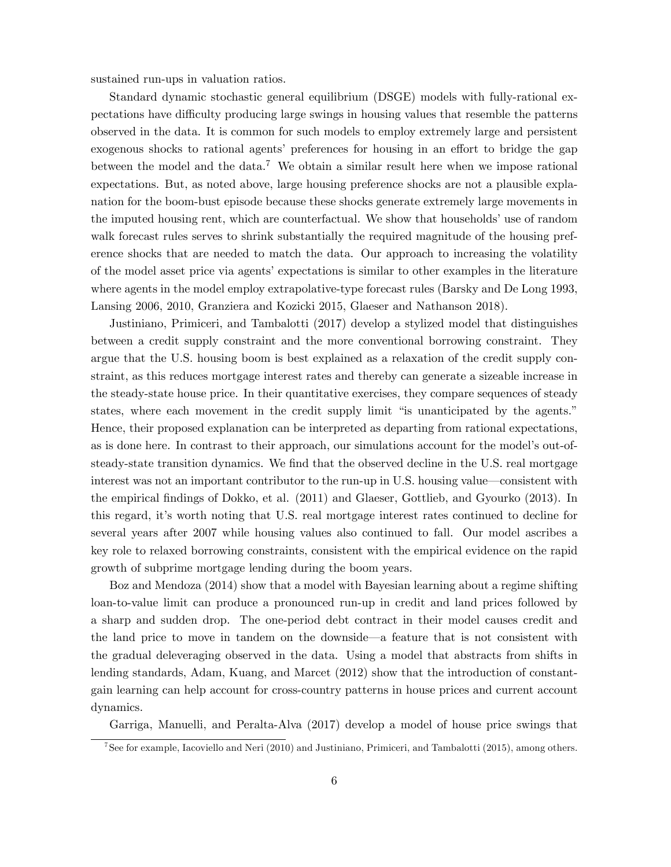sustained run-ups in valuation ratios.

Standard dynamic stochastic general equilibrium (DSGE) models with fully-rational expectations have difficulty producing large swings in housing values that resemble the patterns observed in the data. It is common for such models to employ extremely large and persistent exogenous shocks to rational agents' preferences for housing in an effort to bridge the gap between the model and the data.<sup>7</sup> We obtain a similar result here when we impose rational expectations. But, as noted above, large housing preference shocks are not a plausible explanation for the boom-bust episode because these shocks generate extremely large movements in the imputed housing rent, which are counterfactual. We show that households' use of random walk forecast rules serves to shrink substantially the required magnitude of the housing preference shocks that are needed to match the data. Our approach to increasing the volatility of the model asset price via agents' expectations is similar to other examples in the literature where agents in the model employ extrapolative-type forecast rules (Barsky and De Long 1993, Lansing 2006, 2010, Granziera and Kozicki 2015, Glaeser and Nathanson 2018).

Justiniano, Primiceri, and Tambalotti (2017) develop a stylized model that distinguishes between a credit supply constraint and the more conventional borrowing constraint. They argue that the U.S. housing boom is best explained as a relaxation of the credit supply constraint, as this reduces mortgage interest rates and thereby can generate a sizeable increase in the steady-state house price. In their quantitative exercises, they compare sequences of steady states, where each movement in the credit supply limit "is unanticipated by the agents." Hence, their proposed explanation can be interpreted as departing from rational expectations, as is done here. In contrast to their approach, our simulations account for the model's out-ofsteady-state transition dynamics. We find that the observed decline in the U.S. real mortgage interest was not an important contributor to the run-up in U.S. housing value—consistent with the empirical findings of Dokko, et al. (2011) and Glaeser, Gottlieb, and Gyourko (2013). In this regard, itís worth noting that U.S. real mortgage interest rates continued to decline for several years after 2007 while housing values also continued to fall. Our model ascribes a key role to relaxed borrowing constraints, consistent with the empirical evidence on the rapid growth of subprime mortgage lending during the boom years.

Boz and Mendoza (2014) show that a model with Bayesian learning about a regime shifting loan-to-value limit can produce a pronounced run-up in credit and land prices followed by a sharp and sudden drop. The one-period debt contract in their model causes credit and the land price to move in tandem on the downside—a feature that is not consistent with the gradual deleveraging observed in the data. Using a model that abstracts from shifts in lending standards, Adam, Kuang, and Marcet (2012) show that the introduction of constantgain learning can help account for cross-country patterns in house prices and current account dynamics.

Garriga, Manuelli, and Peralta-Alva (2017) develop a model of house price swings that

<sup>7</sup> See for example, Iacoviello and Neri (2010) and Justiniano, Primiceri, and Tambalotti (2015), among others.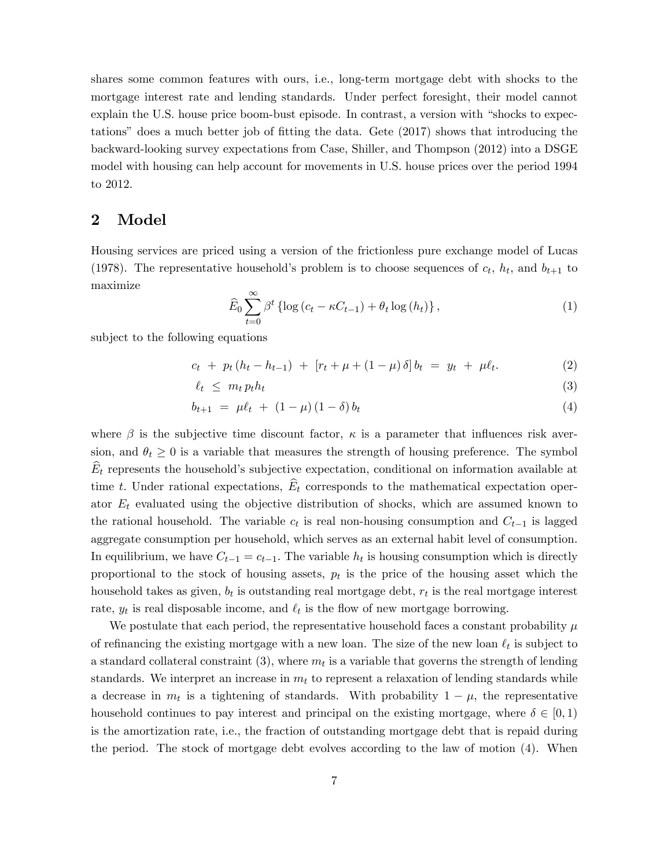shares some common features with ours, i.e., long-term mortgage debt with shocks to the mortgage interest rate and lending standards. Under perfect foresight, their model cannot explain the U.S. house price boom-bust episode. In contrast, a version with "shocks to expectations" does a much better job of fitting the data. Gete  $(2017)$  shows that introducing the backward-looking survey expectations from Case, Shiller, and Thompson (2012) into a DSGE model with housing can help account for movements in U.S. house prices over the period 1994 to 2012.

### 2 Model

Housing services are priced using a version of the frictionless pure exchange model of Lucas (1978). The representative household's problem is to choose sequences of  $c_t$ ,  $h_t$ , and  $b_{t+1}$  to maximize

$$
\widehat{E}_0 \sum_{t=0}^{\infty} \beta^t \left\{ \log \left( c_t - \kappa C_{t-1} \right) + \theta_t \log \left( h_t \right) \right\},\tag{1}
$$

subject to the following equations

$$
c_t + p_t (h_t - h_{t-1}) + [r_t + \mu + (1 - \mu) \delta] b_t = y_t + \mu \ell_t.
$$
 (2)

$$
\ell_t \leq m_t p_t h_t \tag{3}
$$

$$
b_{t+1} = \mu \ell_t + (1 - \mu)(1 - \delta) b_t \tag{4}
$$

where  $\beta$  is the subjective time discount factor,  $\kappa$  is a parameter that influences risk aversion, and  $\theta_t \geq 0$  is a variable that measures the strength of housing preference. The symbol  $\widehat{E}_t$  represents the household's subjective expectation, conditional on information available at time t. Under rational expectations,  $E_t$  corresponds to the mathematical expectation operator  $E_t$  evaluated using the objective distribution of shocks, which are assumed known to the rational household. The variable  $c_t$  is real non-housing consumption and  $C_{t-1}$  is lagged aggregate consumption per household, which serves as an external habit level of consumption. In equilibrium, we have  $C_{t-1} = c_{t-1}$ . The variable  $h_t$  is housing consumption which is directly proportional to the stock of housing assets,  $p_t$  is the price of the housing asset which the household takes as given,  $b_t$  is outstanding real mortgage debt,  $r_t$  is the real mortgage interest rate,  $y_t$  is real disposable income, and  $\ell_t$  is the flow of new mortgage borrowing.

We postulate that each period, the representative household faces a constant probability  $\mu$ of refinancing the existing mortgage with a new loan. The size of the new loan  $\ell_t$  is subject to a standard collateral constraint (3), where  $m_t$  is a variable that governs the strength of lending standards. We interpret an increase in  $m_t$  to represent a relaxation of lending standards while a decrease in  $m_t$  is a tightening of standards. With probability  $1 - \mu$ , the representative household continues to pay interest and principal on the existing mortgage, where  $\delta \in [0, 1)$ is the amortization rate, i.e., the fraction of outstanding mortgage debt that is repaid during the period. The stock of mortgage debt evolves according to the law of motion (4). When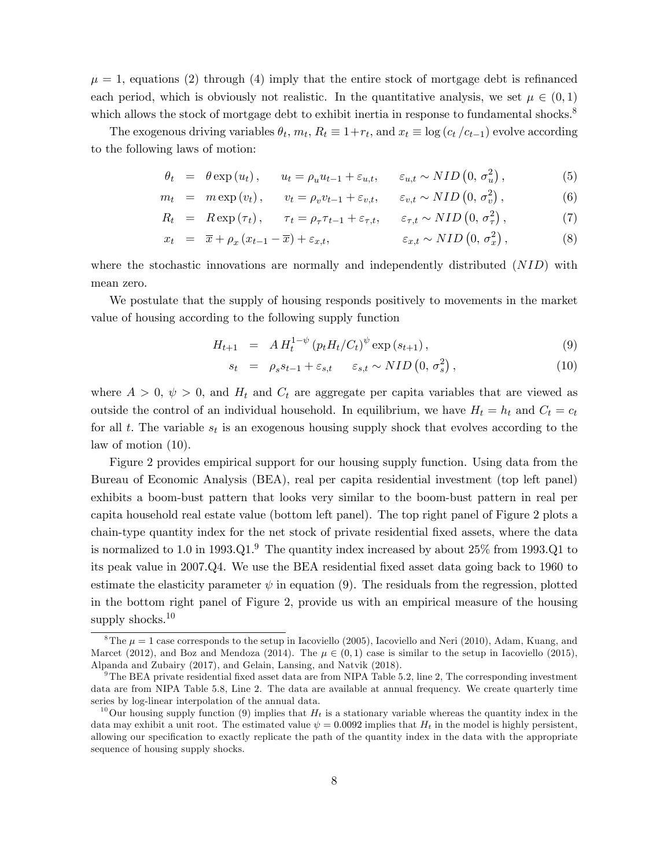$\mu = 1$ , equations (2) through (4) imply that the entire stock of mortgage debt is refinanced each period, which is obviously not realistic. In the quantitative analysis, we set  $\mu \in (0,1)$ which allows the stock of mortgage debt to exhibit inertia in response to fundamental shocks.<sup>8</sup>

The exogenous driving variables  $\theta_t$ ,  $m_t$ ,  $R_t \equiv 1+r_t$ , and  $x_t \equiv \log(c_t/c_{t-1})$  evolve according to the following laws of motion:

$$
\theta_t = \theta \exp(u_t), \qquad u_t = \rho_u u_{t-1} + \varepsilon_{u,t}, \qquad \varepsilon_{u,t} \sim NID\left(0, \sigma_u^2\right), \tag{5}
$$

$$
m_t = m \exp(v_t), \qquad v_t = \rho_v v_{t-1} + \varepsilon_{v,t}, \qquad \varepsilon_{v,t} \sim NID\left(0, \sigma_v^2\right), \tag{6}
$$

$$
R_t = R \exp(\tau_t), \quad \tau_t = \rho_\tau \tau_{t-1} + \varepsilon_{\tau,t}, \quad \varepsilon_{\tau,t} \sim NID\left(0, \sigma_\tau^2\right), \tag{7}
$$

$$
x_t = \overline{x} + \rho_x (x_{t-1} - \overline{x}) + \varepsilon_{x,t}, \qquad \varepsilon_{x,t} \sim NID\left(0, \sigma_x^2\right), \qquad (8)
$$

where the stochastic innovations are normally and independently distributed (NID) with mean zero.

We postulate that the supply of housing responds positively to movements in the market value of housing according to the following supply function

$$
H_{t+1} = A H_t^{1-\psi} (p_t H_t / C_t)^{\psi} \exp(s_{t+1}), \qquad (9)
$$

$$
s_t = \rho_s s_{t-1} + \varepsilon_{s,t} \quad \varepsilon_{s,t} \sim NID\left(0, \sigma_s^2\right), \tag{10}
$$

where  $A > 0$ ,  $\psi > 0$ , and  $H_t$  and  $C_t$  are aggregate per capita variables that are viewed as outside the control of an individual household. In equilibrium, we have  $H_t = h_t$  and  $C_t = c_t$ for all t. The variable  $s_t$  is an exogenous housing supply shock that evolves according to the law of motion (10).

Figure 2 provides empirical support for our housing supply function. Using data from the Bureau of Economic Analysis (BEA), real per capita residential investment (top left panel) exhibits a boom-bust pattern that looks very similar to the boom-bust pattern in real per capita household real estate value (bottom left panel). The top right panel of Figure 2 plots a chain-type quantity index for the net stock of private residential Öxed assets, where the data is normalized to 1.0 in  $1993.Q1.^9$  The quantity index increased by about  $25\%$  from  $1993.Q1$  to its peak value in 2007.Q4. We use the BEA residential Öxed asset data going back to 1960 to estimate the elasticity parameter  $\psi$  in equation (9). The residuals from the regression, plotted in the bottom right panel of Figure 2, provide us with an empirical measure of the housing supply shocks.<sup>10</sup>

<sup>&</sup>lt;sup>8</sup>The  $\mu = 1$  case corresponds to the setup in Iacoviello (2005), Iacoviello and Neri (2010), Adam, Kuang, and Marcet (2012), and Boz and Mendoza (2014). The  $\mu \in (0,1)$  case is similar to the setup in Iacoviello (2015), Alpanda and Zubairy (2017), and Gelain, Lansing, and Natvik (2018).

 $9^9$ The BEA private residential fixed asset data are from NIPA Table 5.2, line 2, The corresponding investment data are from NIPA Table 5.8, Line 2. The data are available at annual frequency. We create quarterly time series by log-linear interpolation of the annual data.

<sup>&</sup>lt;sup>10</sup>Our housing supply function (9) implies that  $H_t$  is a stationary variable whereas the quantity index in the data may exhibit a unit root. The estimated value  $\psi = 0.0092$  implies that  $H_t$  in the model is highly persistent, allowing our specification to exactly replicate the path of the quantity index in the data with the appropriate sequence of housing supply shocks.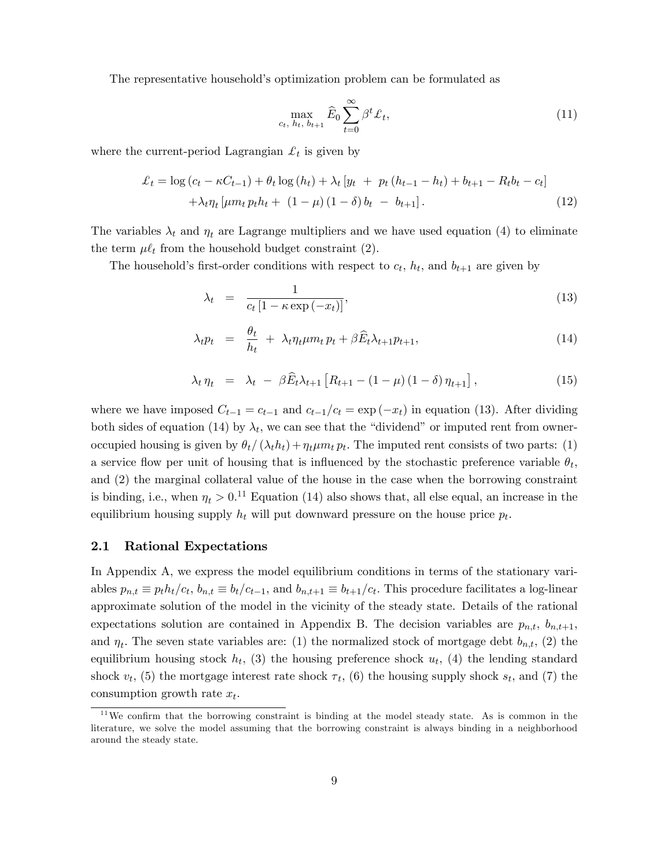The representative household's optimization problem can be formulated as

$$
\max_{c_t, h_t, b_{t+1}} \hat{E}_0 \sum_{t=0}^{\infty} \beta^t \pounds_t,
$$
\n(11)

where the current-period Lagrangian  $\mathcal{L}_t$  is given by

$$
\mathcal{L}_{t} = \log (c_{t} - \kappa C_{t-1}) + \theta_{t} \log (h_{t}) + \lambda_{t} [y_{t} + p_{t} (h_{t-1} - h_{t}) + b_{t+1} - R_{t} b_{t} - c_{t}] + \lambda_{t} \eta_{t} [\mu m_{t} p_{t} h_{t} + (1 - \mu) (1 - \delta) b_{t} - b_{t+1}].
$$
\n(12)

The variables  $\lambda_t$  and  $\eta_t$  are Lagrange multipliers and we have used equation (4) to eliminate the term  $\mu \ell_t$  from the household budget constraint (2).

The household's first-order conditions with respect to  $c_t$ ,  $h_t$ , and  $b_{t+1}$  are given by

$$
\lambda_t = \frac{1}{c_t \left[1 - \kappa \exp\left(-x_t\right)\right]},\tag{13}
$$

$$
\lambda_t p_t = \frac{\theta_t}{h_t} + \lambda_t \eta_t \mu m_t p_t + \beta \widehat{E}_t \lambda_{t+1} p_{t+1}, \qquad (14)
$$

$$
\lambda_t \eta_t = \lambda_t - \beta \widehat{E}_t \lambda_{t+1} \left[ R_{t+1} - (1 - \mu) (1 - \delta) \eta_{t+1} \right], \tag{15}
$$

where we have imposed  $C_{t-1} = c_{t-1}$  and  $c_{t-1}/c_t = \exp(-x_t)$  in equation (13). After dividing both sides of equation (14) by  $\lambda_t$ , we can see that the "dividend" or imputed rent from owneroccupied housing is given by  $\theta_t / (\lambda_t h_t) + \eta_t \mu m_t p_t$ . The imputed rent consists of two parts: (1) a service flow per unit of housing that is influenced by the stochastic preference variable  $\theta_t$ , and (2) the marginal collateral value of the house in the case when the borrowing constraint is binding, i.e., when  $\eta_t > 0.11$  Equation (14) also shows that, all else equal, an increase in the equilibrium housing supply  $h_t$  will put downward pressure on the house price  $p_t$ .

#### 2.1 Rational Expectations

In Appendix A, we express the model equilibrium conditions in terms of the stationary variables  $p_{n,t} \equiv p_t h_t/c_t$ ,  $b_{n,t} \equiv b_t/c_{t-1}$ , and  $b_{n,t+1} \equiv b_{t+1}/c_t$ . This procedure facilitates a log-linear approximate solution of the model in the vicinity of the steady state. Details of the rational expectations solution are contained in Appendix B. The decision variables are  $p_{n,t}$ ,  $b_{n,t+1}$ , and  $\eta_t$ . The seven state variables are: (1) the normalized stock of mortgage debt  $b_{n,t}$ , (2) the equilibrium housing stock  $h_t$ , (3) the housing preference shock  $u_t$ , (4) the lending standard shock  $v_t$ , (5) the mortgage interest rate shock  $\tau_t$ , (6) the housing supply shock  $s_t$ , and (7) the consumption growth rate  $x_t$ .

 $11$ We confirm that the borrowing constraint is binding at the model steady state. As is common in the literature, we solve the model assuming that the borrowing constraint is always binding in a neighborhood around the steady state.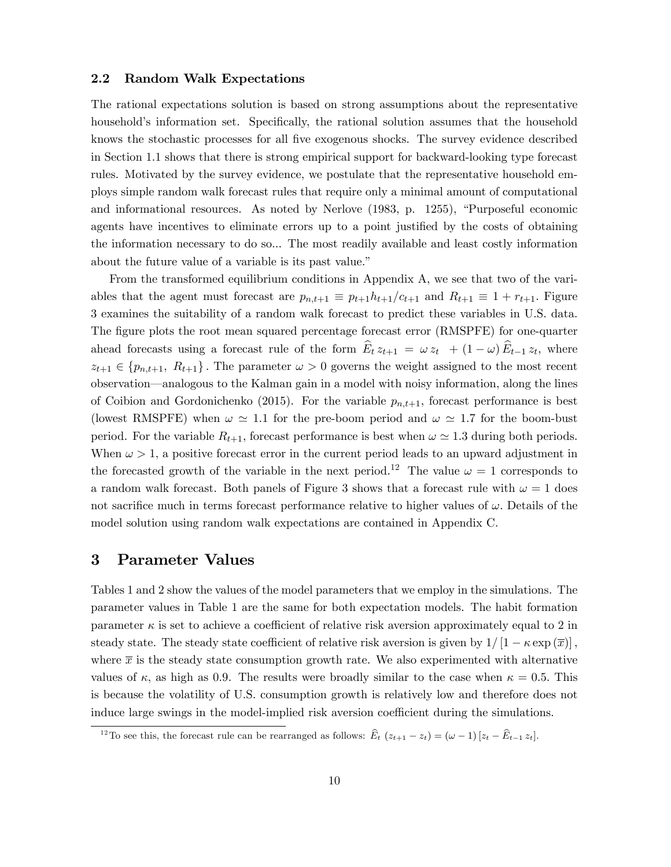#### 2.2 Random Walk Expectations

The rational expectations solution is based on strong assumptions about the representative household's information set. Specifically, the rational solution assumes that the household knows the stochastic processes for all Öve exogenous shocks. The survey evidence described in Section 1.1 shows that there is strong empirical support for backward-looking type forecast rules. Motivated by the survey evidence, we postulate that the representative household employs simple random walk forecast rules that require only a minimal amount of computational and informational resources. As noted by Nerlove  $(1983, p. 1255)$ , "Purposeful economic agents have incentives to eliminate errors up to a point justified by the costs of obtaining the information necessary to do so... The most readily available and least costly information about the future value of a variable is its past value."

From the transformed equilibrium conditions in Appendix A, we see that two of the variables that the agent must forecast are  $p_{n,t+1} \equiv p_{t+1}h_{t+1}/c_{t+1}$  and  $R_{t+1} \equiv 1 + r_{t+1}$ . Figure 3 examines the suitability of a random walk forecast to predict these variables in U.S. data. The figure plots the root mean squared percentage forecast error (RMSPFE) for one-quarter ahead forecasts using a forecast rule of the form  $E_t z_{t+1} = \omega z_t + (1 - \omega) E_{t-1} z_t$ , where  $z_{t+1} \in \{p_{n,t+1}, R_{t+1}\}\.$  The parameter  $\omega > 0$  governs the weight assigned to the most recent observation—analogous to the Kalman gain in a model with noisy information, along the lines of Coibion and Gordonichenko (2015). For the variable  $p_{n,t+1}$ , forecast performance is best (lowest RMSPFE) when  $\omega \simeq 1.1$  for the pre-boom period and  $\omega \simeq 1.7$  for the boom-bust period. For the variable  $R_{t+1}$ , forecast performance is best when  $\omega \simeq 1.3$  during both periods. When  $\omega > 1$ , a positive forecast error in the current period leads to an upward adjustment in the forecasted growth of the variable in the next period.<sup>12</sup> The value  $\omega = 1$  corresponds to a random walk forecast. Both panels of Figure 3 shows that a forecast rule with  $\omega = 1$  does not sacrifice much in terms forecast performance relative to higher values of  $\omega$ . Details of the model solution using random walk expectations are contained in Appendix C.

### 3 Parameter Values

Tables 1 and 2 show the values of the model parameters that we employ in the simulations. The parameter values in Table 1 are the same for both expectation models. The habit formation parameter  $\kappa$  is set to achieve a coefficient of relative risk aversion approximately equal to 2 in steady state. The steady state coefficient of relative risk aversion is given by  $1/[1 - \kappa \exp(\overline{x})]$ , where  $\bar{x}$  is the steady state consumption growth rate. We also experimented with alternative values of  $\kappa$ , as high as 0.9. The results were broadly similar to the case when  $\kappa = 0.5$ . This is because the volatility of U.S. consumption growth is relatively low and therefore does not induce large swings in the model-implied risk aversion coefficient during the simulations.

<sup>&</sup>lt;sup>12</sup> To see this, the forecast rule can be rearranged as follows:  $\widehat{E}_t(z_{t+1} - z_t) = (\omega - 1)(z_t - \widehat{E}_{t-1} z_t].$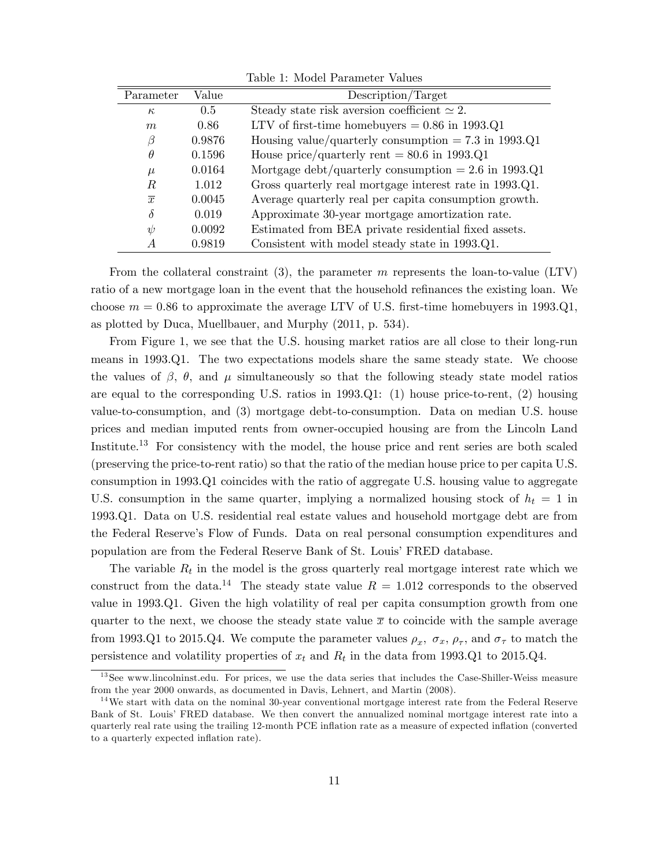| Parameter      | Value  | Description/Target                                      |
|----------------|--------|---------------------------------------------------------|
| $\kappa$       | 0.5    | Steady state risk aversion coefficient $\simeq 2$ .     |
| m              | 0.86   | LTV of first-time homebuyers $= 0.86$ in 1993.Q1        |
| β              | 0.9876 | Housing value/quarterly consumption $= 7.3$ in 1993.Q1  |
| $\theta$       | 0.1596 | House price/quarterly rent $= 80.6$ in 1993.Q1          |
| $\mu$          | 0.0164 | Mortgage debt/quarterly consumption $= 2.6$ in 1993.Q1  |
| R.             | 1.012  | Gross quarterly real mortgage interest rate in 1993.Q1. |
| $\overline{x}$ | 0.0045 | Average quarterly real per capita consumption growth.   |
| $\delta$       | 0.019  | Approximate 30-year mortgage amortization rate.         |
| $\psi$         | 0.0092 | Estimated from BEA private residential fixed assets.    |
| A              | 0.9819 | Consistent with model steady state in 1993.Q1.          |

Table 1: Model Parameter Values

From the collateral constraint (3), the parameter m represents the loan-to-value (LTV) ratio of a new mortgage loan in the event that the household refinances the existing loan. We choose  $m = 0.86$  to approximate the average LTV of U.S. first-time homebuyers in 1993.Q1, as plotted by Duca, Muellbauer, and Murphy (2011, p. 534).

From Figure 1, we see that the U.S. housing market ratios are all close to their long-run means in 1993.Q1. The two expectations models share the same steady state. We choose the values of  $\beta$ ,  $\theta$ , and  $\mu$  simultaneously so that the following steady state model ratios are equal to the corresponding U.S. ratios in 1993.Q1: (1) house price-to-rent, (2) housing value-to-consumption, and (3) mortgage debt-to-consumption. Data on median U.S. house prices and median imputed rents from owner-occupied housing are from the Lincoln Land Institute.<sup>13</sup> For consistency with the model, the house price and rent series are both scaled (preserving the price-to-rent ratio) so that the ratio of the median house price to per capita U.S. consumption in 1993.Q1 coincides with the ratio of aggregate U.S. housing value to aggregate U.S. consumption in the same quarter, implying a normalized housing stock of  $h_t = 1$  in 1993.Q1. Data on U.S. residential real estate values and household mortgage debt are from the Federal Reserveís Flow of Funds. Data on real personal consumption expenditures and population are from the Federal Reserve Bank of St. Louis' FRED database.

The variable  $R_t$  in the model is the gross quarterly real mortgage interest rate which we construct from the data.<sup>14</sup> The steady state value  $R = 1.012$  corresponds to the observed value in 1993.Q1. Given the high volatility of real per capita consumption growth from one quarter to the next, we choose the steady state value  $\bar{x}$  to coincide with the sample average from 1993.Q1 to 2015.Q4. We compute the parameter values  $\rho_x$ ,  $\sigma_x$ ,  $\rho_{\tau}$ , and  $\sigma_{\tau}$  to match the persistence and volatility properties of  $x_t$  and  $R_t$  in the data from 1993.Q1 to 2015.Q4.

<sup>&</sup>lt;sup>13</sup>See www.lincolninst.edu. For prices, we use the data series that includes the Case-Shiller-Weiss measure from the year 2000 onwards, as documented in Davis, Lehnert, and Martin (2008).

<sup>&</sup>lt;sup>14</sup>We start with data on the nominal 30-year conventional mortgage interest rate from the Federal Reserve Bank of St. Louis' FRED database. We then convert the annualized nominal mortgage interest rate into a quarterly real rate using the trailing 12-month PCE inflation rate as a measure of expected inflation (converted to a quarterly expected inflation rate).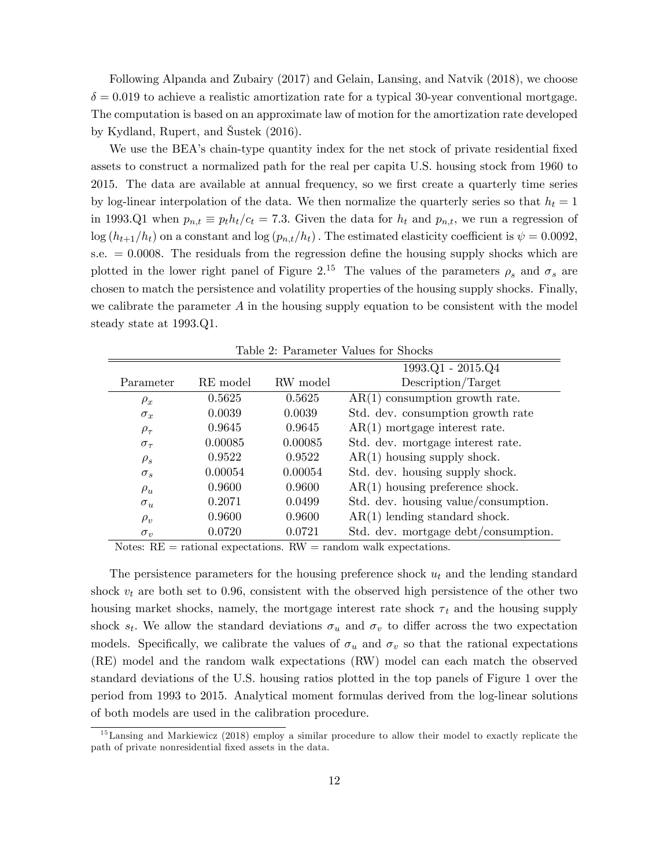Following Alpanda and Zubairy (2017) and Gelain, Lansing, and Natvik (2018), we choose  $\delta = 0.019$  to achieve a realistic amortization rate for a typical 30-year conventional mortgage. The computation is based on an approximate law of motion for the amortization rate developed by Kydland, Rupert, and äustek (2016).

We use the BEA's chain-type quantity index for the net stock of private residential fixed assets to construct a normalized path for the real per capita U.S. housing stock from 1960 to 2015. The data are available at annual frequency, so we first create a quarterly time series by log-linear interpolation of the data. We then normalize the quarterly series so that  $h_t = 1$ in 1993.Q1 when  $p_{n,t} \equiv p_th_t/c_t = 7.3$ . Given the data for  $h_t$  and  $p_{n,t}$ , we run a regression of  $\log (h_{t+1}/h_t)$  on a constant and  $\log (p_{n,t}/h_t)$ . The estimated elasticity coefficient is  $\psi = 0.0092$ , s.e.  $= 0.0008$ . The residuals from the regression define the housing supply shocks which are plotted in the lower right panel of Figure 2.<sup>15</sup> The values of the parameters  $\rho_s$  and  $\sigma_s$  are chosen to match the persistence and volatility properties of the housing supply shocks. Finally, we calibrate the parameter  $A$  in the housing supply equation to be consistent with the model steady state at 1993.Q1.

|                 |          |          | $1993.Q1 - 2015.Q4$                         |
|-----------------|----------|----------|---------------------------------------------|
| Parameter       | RE model | RW model | Description/Target                          |
| $\rho_x$        | 0.5625   | 0.5625   | $\overline{AR(1)}$ consumption growth rate. |
| $\sigma_x$      | 0.0039   | 0.0039   | Std. dev. consumption growth rate           |
| $\rho_{\tau}$   | 0.9645   | 0.9645   | $AR(1)$ mortgage interest rate.             |
| $\sigma_{\tau}$ | 0.00085  | 0.00085  | Std. dev. mortgage interest rate.           |
| $\rho_s$        | 0.9522   | 0.9522   | $AR(1)$ housing supply shock.               |
| $\sigma_s$      | 0.00054  | 0.00054  | Std. dev. housing supply shock.             |
| $\rho_u$        | 0.9600   | 0.9600   | $AR(1)$ housing preference shock.           |
| $\sigma_u$      | 0.2071   | 0.0499   | Std. dev. housing value/consumption.        |
| $\rho_v$        | 0.9600   | 0.9600   | $AR(1)$ lending standard shock.             |
| $\sigma_v$      | 0.0720   | 0.0721   | Std. dev. mortgage debt/consumption.        |

Table 2: Parameter Values for Shocks

Notes:  $RE =$  rational expectations.  $RW =$  random walk expectations.

The persistence parameters for the housing preference shock  $u_t$  and the lending standard shock  $v_t$  are both set to 0.96, consistent with the observed high persistence of the other two housing market shocks, namely, the mortgage interest rate shock  $\tau_t$  and the housing supply shock  $s_t$ . We allow the standard deviations  $\sigma_u$  and  $\sigma_v$  to differ across the two expectation models. Specifically, we calibrate the values of  $\sigma_u$  and  $\sigma_v$  so that the rational expectations (RE) model and the random walk expectations (RW) model can each match the observed standard deviations of the U.S. housing ratios plotted in the top panels of Figure 1 over the period from 1993 to 2015. Analytical moment formulas derived from the log-linear solutions of both models are used in the calibration procedure.

 $15$ Lansing and Markiewicz (2018) employ a similar procedure to allow their model to exactly replicate the path of private nonresidential fixed assets in the data.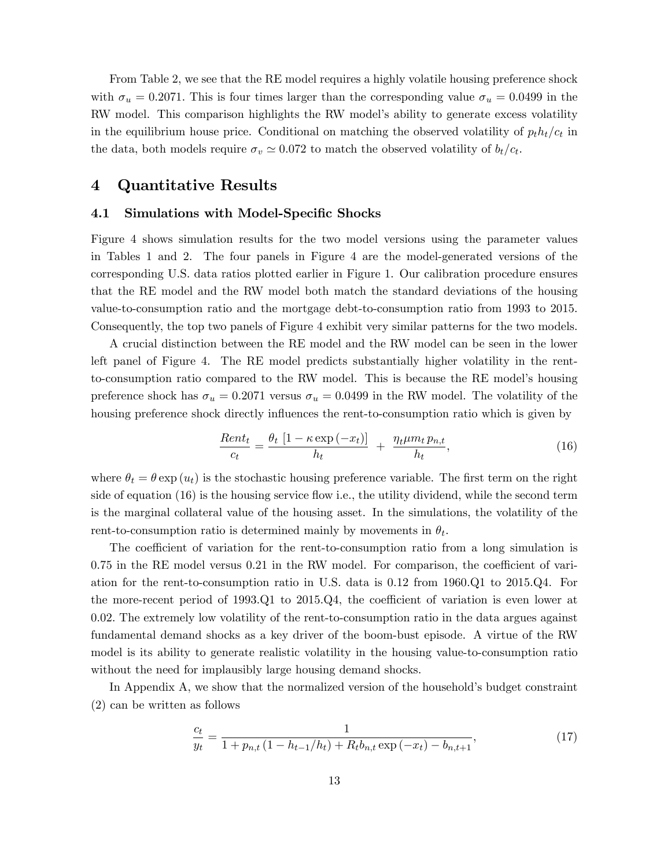From Table 2, we see that the RE model requires a highly volatile housing preference shock with  $\sigma_u = 0.2071$ . This is four times larger than the corresponding value  $\sigma_u = 0.0499$  in the RW model. This comparison highlights the RW model's ability to generate excess volatility in the equilibrium house price. Conditional on matching the observed volatility of  $p_t h_t/c_t$  in the data, both models require  $\sigma_v \simeq 0.072$  to match the observed volatility of  $b_t/c_t$ .

### 4 Quantitative Results

#### 4.1 Simulations with Model-Specific Shocks

Figure 4 shows simulation results for the two model versions using the parameter values in Tables 1 and 2. The four panels in Figure 4 are the model-generated versions of the corresponding U.S. data ratios plotted earlier in Figure 1. Our calibration procedure ensures that the RE model and the RW model both match the standard deviations of the housing value-to-consumption ratio and the mortgage debt-to-consumption ratio from 1993 to 2015. Consequently, the top two panels of Figure 4 exhibit very similar patterns for the two models.

A crucial distinction between the RE model and the RW model can be seen in the lower left panel of Figure 4. The RE model predicts substantially higher volatility in the rentto-consumption ratio compared to the RW model. This is because the RE modelís housing preference shock has  $\sigma_u = 0.2071$  versus  $\sigma_u = 0.0499$  in the RW model. The volatility of the housing preference shock directly influences the rent-to-consumption ratio which is given by

$$
\frac{Rent_t}{c_t} = \frac{\theta_t \left[1 - \kappa \exp\left(-x_t\right)\right]}{h_t} + \frac{\eta_t \mu m_t p_{n,t}}{h_t},\tag{16}
$$

where  $\theta_t = \theta \exp(u_t)$  is the stochastic housing preference variable. The first term on the right side of equation (16) is the housing service flow i.e., the utility dividend, while the second term is the marginal collateral value of the housing asset. In the simulations, the volatility of the rent-to-consumption ratio is determined mainly by movements in  $\theta_t$ .

The coefficient of variation for the rent-to-consumption ratio from a long simulation is  $0.75$  in the RE model versus  $0.21$  in the RW model. For comparison, the coefficient of variation for the rent-to-consumption ratio in U.S. data is  $0.12$  from  $1960 \Omega$  to  $2015 \Omega$ . the more-recent period of 1993.Q1 to  $2015 \text{.}Q4$ , the coefficient of variation is even lower at 0:02: The extremely low volatility of the rent-to-consumption ratio in the data argues against fundamental demand shocks as a key driver of the boom-bust episode. A virtue of the RW model is its ability to generate realistic volatility in the housing value-to-consumption ratio without the need for implausibly large housing demand shocks.

In Appendix A, we show that the normalized version of the household's budget constraint (2) can be written as follows

$$
\frac{c_t}{y_t} = \frac{1}{1 + p_{n,t} \left(1 - \frac{h_{t-1}}{h_t}\right) + R_t b_{n,t} \exp\left(-x_t\right) - b_{n,t+1}},\tag{17}
$$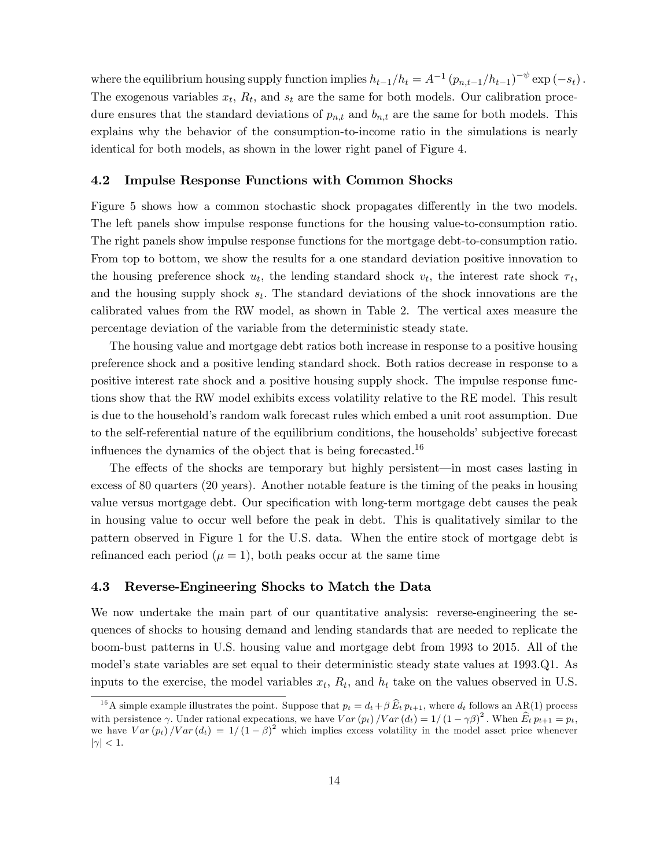where the equilibrium housing supply function implies  $h_{t-1}/h_t = A^{-1} (p_{n,t-1}/h_{t-1})^{-\psi} \exp(-s_t)$ . The exogenous variables  $x_t$ ,  $R_t$ , and  $s_t$  are the same for both models. Our calibration procedure ensures that the standard deviations of  $p_{n,t}$  and  $b_{n,t}$  are the same for both models. This explains why the behavior of the consumption-to-income ratio in the simulations is nearly identical for both models, as shown in the lower right panel of Figure 4.

#### 4.2 Impulse Response Functions with Common Shocks

Figure 5 shows how a common stochastic shock propagates differently in the two models. The left panels show impulse response functions for the housing value-to-consumption ratio. The right panels show impulse response functions for the mortgage debt-to-consumption ratio. From top to bottom, we show the results for a one standard deviation positive innovation to the housing preference shock  $u_t$ , the lending standard shock  $v_t$ , the interest rate shock  $\tau_t$ , and the housing supply shock  $s_t$ . The standard deviations of the shock innovations are the calibrated values from the RW model, as shown in Table 2. The vertical axes measure the percentage deviation of the variable from the deterministic steady state.

The housing value and mortgage debt ratios both increase in response to a positive housing preference shock and a positive lending standard shock. Both ratios decrease in response to a positive interest rate shock and a positive housing supply shock. The impulse response functions show that the RW model exhibits excess volatility relative to the RE model. This result is due to the household's random walk forecast rules which embed a unit root assumption. Due to the self-referential nature of the equilibrium conditions, the households' subjective forecast influences the dynamics of the object that is being forecasted.<sup>16</sup>

The effects of the shocks are temporary but highly persistent—in most cases lasting in excess of 80 quarters (20 years). Another notable feature is the timing of the peaks in housing value versus mortgage debt. Our specification with long-term mortgage debt causes the peak in housing value to occur well before the peak in debt. This is qualitatively similar to the pattern observed in Figure 1 for the U.S. data. When the entire stock of mortgage debt is refinanced each period  $(\mu = 1)$ , both peaks occur at the same time

#### 4.3 Reverse-Engineering Shocks to Match the Data

We now undertake the main part of our quantitative analysis: reverse-engineering the sequences of shocks to housing demand and lending standards that are needed to replicate the boom-bust patterns in U.S. housing value and mortgage debt from 1993 to 2015. All of the model's state variables are set equal to their deterministic steady state values at 1993.Q1. As inputs to the exercise, the model variables  $x_t$ ,  $R_t$ , and  $h_t$  take on the values observed in U.S.

<sup>&</sup>lt;sup>16</sup>A simple example illustrates the point. Suppose that  $p_t = d_t + \beta \widehat{E}_t p_{t+1}$ , where  $d_t$  follows an AR(1) process with persistence  $\gamma$ . Under rational expecations, we have  $Var(p_t)/Var(d_t) = 1/(1 - \gamma \beta)^2$ . When  $\widehat{E}_t p_{t+1} = p_t$ , we have  $Var(p_t)/Var(d_t) = 1/(1 - \beta)^2$  which implies excess volatility in the model asset price whenever  $|\gamma| < 1.$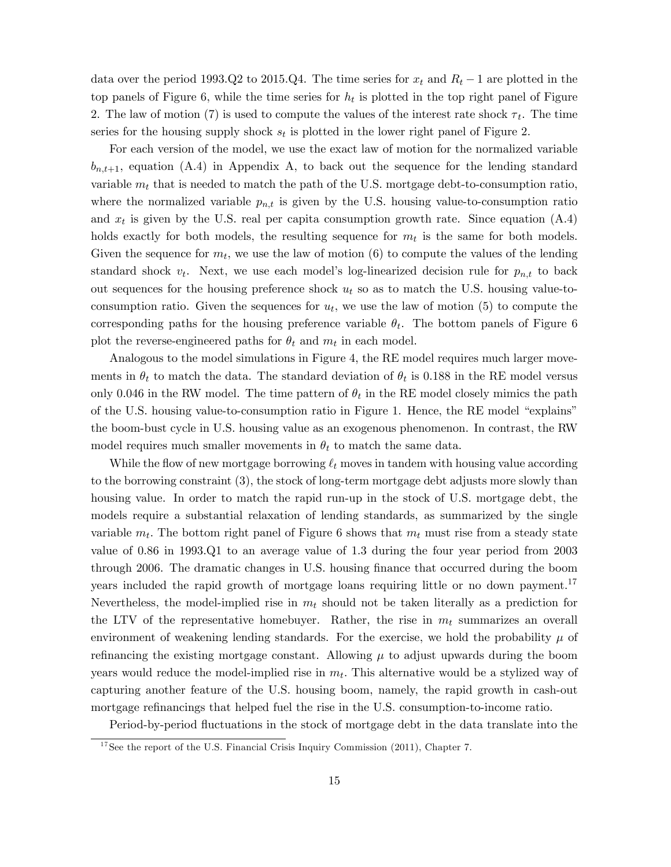data over the period 1993.Q2 to 2015.Q4. The time series for  $x_t$  and  $R_t - 1$  are plotted in the top panels of Figure 6, while the time series for  $h_t$  is plotted in the top right panel of Figure 2. The law of motion (7) is used to compute the values of the interest rate shock  $\tau_t$ . The time series for the housing supply shock  $s_t$  is plotted in the lower right panel of Figure 2.

For each version of the model, we use the exact law of motion for the normalized variable  $b_{n,t+1}$ , equation (A.4) in Appendix A, to back out the sequence for the lending standard variable  $m_t$  that is needed to match the path of the U.S. mortgage debt-to-consumption ratio, where the normalized variable  $p_{n,t}$  is given by the U.S. housing value-to-consumption ratio and  $x_t$  is given by the U.S. real per capita consumption growth rate. Since equation  $(A.4)$ holds exactly for both models, the resulting sequence for  $m_t$  is the same for both models. Given the sequence for  $m_t$ , we use the law of motion (6) to compute the values of the lending standard shock  $v_t$ . Next, we use each model's log-linearized decision rule for  $p_{n,t}$  to back out sequences for the housing preference shock  $u_t$  so as to match the U.S. housing value-toconsumption ratio. Given the sequences for  $u_t$ , we use the law of motion (5) to compute the corresponding paths for the housing preference variable  $\theta_t$ . The bottom panels of Figure 6 plot the reverse-engineered paths for  $\theta_t$  and  $m_t$  in each model.

Analogous to the model simulations in Figure 4, the RE model requires much larger movements in  $\theta_t$  to match the data. The standard deviation of  $\theta_t$  is 0.188 in the RE model versus only 0.046 in the RW model. The time pattern of  $\theta_t$  in the RE model closely mimics the path of the U.S. housing value-to-consumption ratio in Figure 1. Hence, the RE model "explains" the boom-bust cycle in U.S. housing value as an exogenous phenomenon. In contrast, the RW model requires much smaller movements in  $\theta_t$  to match the same data.

While the flow of new mortgage borrowing  $\ell_t$  moves in tandem with housing value according to the borrowing constraint (3), the stock of long-term mortgage debt adjusts more slowly than housing value. In order to match the rapid run-up in the stock of U.S. mortgage debt, the models require a substantial relaxation of lending standards, as summarized by the single variable  $m_t$ . The bottom right panel of Figure 6 shows that  $m_t$  must rise from a steady state value of 0.86 in 1993.Q1 to an average value of 1.3 during the four year period from 2003 through 2006. The dramatic changes in U.S. housing Önance that occurred during the boom years included the rapid growth of mortgage loans requiring little or no down payment.<sup>17</sup> Nevertheless, the model-implied rise in  $m_t$  should not be taken literally as a prediction for the LTV of the representative homebuyer. Rather, the rise in  $m_t$  summarizes an overall environment of weakening lending standards. For the exercise, we hold the probability  $\mu$  of refinancing the existing mortgage constant. Allowing  $\mu$  to adjust upwards during the boom years would reduce the model-implied rise in  $m_t$ . This alternative would be a stylized way of capturing another feature of the U.S. housing boom, namely, the rapid growth in cash-out mortgage refinancings that helped fuel the rise in the U.S. consumption-to-income ratio.

Period-by-period fluctuations in the stock of mortgage debt in the data translate into the

<sup>&</sup>lt;sup>17</sup>See the report of the U.S. Financial Crisis Inquiry Commission (2011), Chapter 7.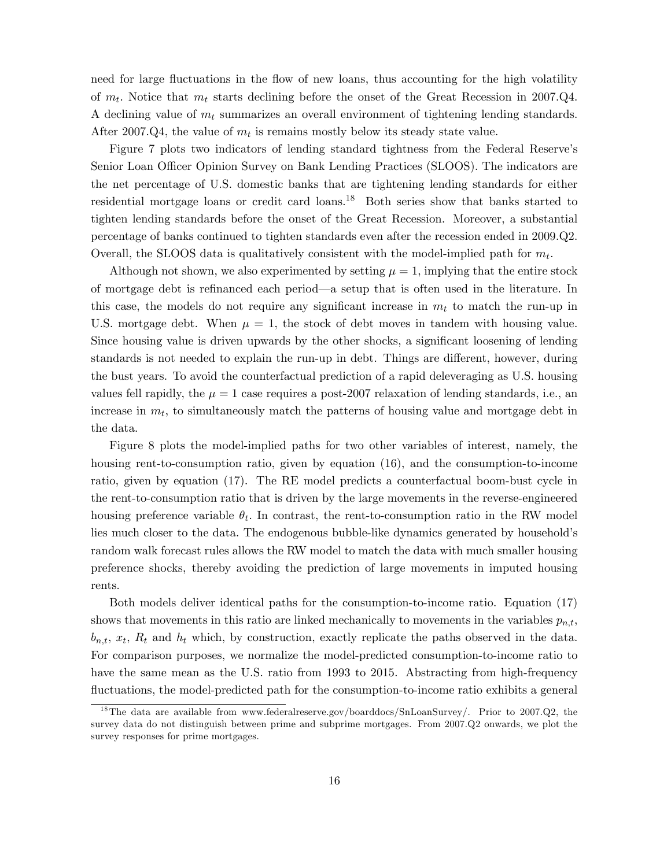need for large fluctuations in the flow of new loans, thus accounting for the high volatility of  $m_t$ . Notice that  $m_t$  starts declining before the onset of the Great Recession in 2007.Q4. A declining value of  $m_t$  summarizes an overall environment of tightening lending standards. After 2007.Q4, the value of  $m_t$  is remains mostly below its steady state value.

Figure 7 plots two indicators of lending standard tightness from the Federal Reserve's Senior Loan Officer Opinion Survey on Bank Lending Practices (SLOOS). The indicators are the net percentage of U.S. domestic banks that are tightening lending standards for either residential mortgage loans or credit card loans.<sup>18</sup> Both series show that banks started to tighten lending standards before the onset of the Great Recession. Moreover, a substantial percentage of banks continued to tighten standards even after the recession ended in 2009.Q2. Overall, the SLOOS data is qualitatively consistent with the model-implied path for  $m_t$ .

Although not shown, we also experimented by setting  $\mu = 1$ , implying that the entire stock of mortgage debt is refinanced each period—a setup that is often used in the literature. In this case, the models do not require any significant increase in  $m_t$  to match the run-up in U.S. mortgage debt. When  $\mu = 1$ , the stock of debt moves in tandem with housing value. Since housing value is driven upwards by the other shocks, a significant loosening of lending standards is not needed to explain the run-up in debt. Things are different, however, during the bust years. To avoid the counterfactual prediction of a rapid deleveraging as U.S. housing values fell rapidly, the  $\mu = 1$  case requires a post-2007 relaxation of lending standards, i.e., an increase in  $m_t$ , to simultaneously match the patterns of housing value and mortgage debt in the data.

Figure 8 plots the model-implied paths for two other variables of interest, namely, the housing rent-to-consumption ratio, given by equation (16), and the consumption-to-income ratio, given by equation (17). The RE model predicts a counterfactual boom-bust cycle in the rent-to-consumption ratio that is driven by the large movements in the reverse-engineered housing preference variable  $\theta_t$ . In contrast, the rent-to-consumption ratio in the RW model lies much closer to the data. The endogenous bubble-like dynamics generated by household's random walk forecast rules allows the RW model to match the data with much smaller housing preference shocks, thereby avoiding the prediction of large movements in imputed housing rents.

Both models deliver identical paths for the consumption-to-income ratio. Equation (17) shows that movements in this ratio are linked mechanically to movements in the variables  $p_{n,t}$ ;  $b_{n,t}, x_t, R_t$  and  $h_t$  which, by construction, exactly replicate the paths observed in the data. For comparison purposes, we normalize the model-predicted consumption-to-income ratio to have the same mean as the U.S. ratio from 1993 to 2015. Abstracting from high-frequency fluctuations, the model-predicted path for the consumption-to-income ratio exhibits a general

<sup>&</sup>lt;sup>18</sup>The data are available from www.federalreserve.gov/boarddocs/SnLoanSurvey/. Prior to 2007.Q2, the survey data do not distinguish between prime and subprime mortgages. From 2007.Q2 onwards, we plot the survey responses for prime mortgages.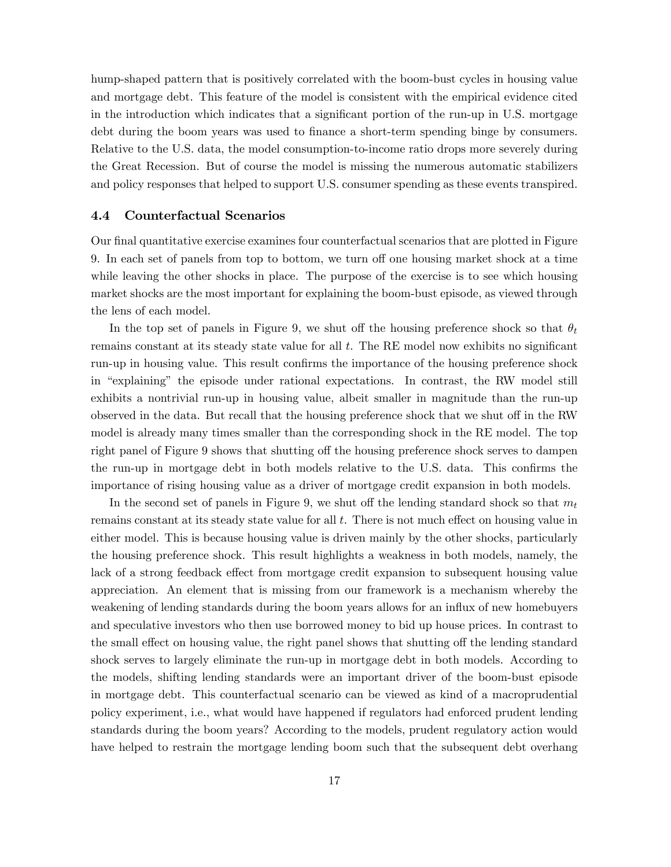hump-shaped pattern that is positively correlated with the boom-bust cycles in housing value and mortgage debt. This feature of the model is consistent with the empirical evidence cited in the introduction which indicates that a significant portion of the run-up in U.S. mortgage debt during the boom years was used to finance a short-term spending binge by consumers. Relative to the U.S. data, the model consumption-to-income ratio drops more severely during the Great Recession. But of course the model is missing the numerous automatic stabilizers and policy responses that helped to support U.S. consumer spending as these events transpired.

#### 4.4 Counterfactual Scenarios

Our final quantitative exercise examines four counterfactual scenarios that are plotted in Figure 9. In each set of panels from top to bottom, we turn off one housing market shock at a time while leaving the other shocks in place. The purpose of the exercise is to see which housing market shocks are the most important for explaining the boom-bust episode, as viewed through the lens of each model.

In the top set of panels in Figure 9, we shut off the housing preference shock so that  $\theta_t$ remains constant at its steady state value for all  $t$ . The RE model now exhibits no significant run-up in housing value. This result confirms the importance of the housing preference shock in "explaining" the episode under rational expectations. In contrast, the RW model still exhibits a nontrivial run-up in housing value, albeit smaller in magnitude than the run-up observed in the data. But recall that the housing preference shock that we shut off in the RW model is already many times smaller than the corresponding shock in the RE model. The top right panel of Figure 9 shows that shutting off the housing preference shock serves to dampen the run-up in mortgage debt in both models relative to the U.S. data. This confirms the importance of rising housing value as a driver of mortgage credit expansion in both models.

In the second set of panels in Figure 9, we shut off the lending standard shock so that  $m_t$ remains constant at its steady state value for all  $t$ . There is not much effect on housing value in either model. This is because housing value is driven mainly by the other shocks, particularly the housing preference shock. This result highlights a weakness in both models, namely, the lack of a strong feedback effect from mortgage credit expansion to subsequent housing value appreciation. An element that is missing from our framework is a mechanism whereby the weakening of lending standards during the boom years allows for an influx of new homebuyers and speculative investors who then use borrowed money to bid up house prices. In contrast to the small effect on housing value, the right panel shows that shutting off the lending standard shock serves to largely eliminate the run-up in mortgage debt in both models. According to the models, shifting lending standards were an important driver of the boom-bust episode in mortgage debt. This counterfactual scenario can be viewed as kind of a macroprudential policy experiment, i.e., what would have happened if regulators had enforced prudent lending standards during the boom years? According to the models, prudent regulatory action would have helped to restrain the mortgage lending boom such that the subsequent debt overhang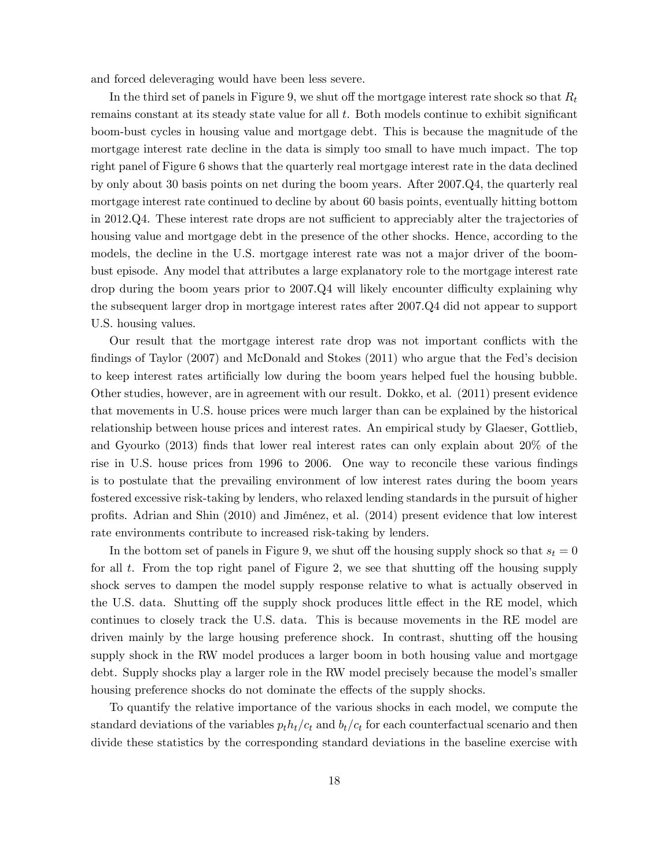and forced deleveraging would have been less severe.

In the third set of panels in Figure 9, we shut off the mortgage interest rate shock so that  $R_t$ remains constant at its steady state value for all  $t$ . Both models continue to exhibit significant boom-bust cycles in housing value and mortgage debt. This is because the magnitude of the mortgage interest rate decline in the data is simply too small to have much impact. The top right panel of Figure 6 shows that the quarterly real mortgage interest rate in the data declined by only about 30 basis points on net during the boom years. After 2007.Q4, the quarterly real mortgage interest rate continued to decline by about 60 basis points, eventually hitting bottom in 2012.Q4. These interest rate drops are not sufficient to appreciably alter the trajectories of housing value and mortgage debt in the presence of the other shocks. Hence, according to the models, the decline in the U.S. mortgage interest rate was not a major driver of the boombust episode. Any model that attributes a large explanatory role to the mortgage interest rate drop during the boom years prior to  $2007 \cdot Q4$  will likely encounter difficulty explaining why the subsequent larger drop in mortgage interest rates after 2007.Q4 did not appear to support U.S. housing values.

Our result that the mortgage interest rate drop was not important conflicts with the findings of Taylor  $(2007)$  and McDonald and Stokes  $(2011)$  who argue that the Fed's decision to keep interest rates artificially low during the boom years helped fuel the housing bubble. Other studies, however, are in agreement with our result. Dokko, et al. (2011) present evidence that movements in U.S. house prices were much larger than can be explained by the historical relationship between house prices and interest rates. An empirical study by Glaeser, Gottlieb, and Gyourko  $(2013)$  finds that lower real interest rates can only explain about  $20\%$  of the rise in U.S. house prices from 1996 to 2006. One way to reconcile these various findings is to postulate that the prevailing environment of low interest rates during the boom years fostered excessive risk-taking by lenders, who relaxed lending standards in the pursuit of higher proÖts. Adrian and Shin (2010) and JimÈnez, et al. (2014) present evidence that low interest rate environments contribute to increased risk-taking by lenders.

In the bottom set of panels in Figure 9, we shut off the housing supply shock so that  $s_t = 0$ for all t. From the top right panel of Figure 2, we see that shutting off the housing supply shock serves to dampen the model supply response relative to what is actually observed in the U.S. data. Shutting off the supply shock produces little effect in the RE model, which continues to closely track the U.S. data. This is because movements in the RE model are driven mainly by the large housing preference shock. In contrast, shutting off the housing supply shock in the RW model produces a larger boom in both housing value and mortgage debt. Supply shocks play a larger role in the RW model precisely because the model's smaller housing preference shocks do not dominate the effects of the supply shocks.

To quantify the relative importance of the various shocks in each model, we compute the standard deviations of the variables  $p_th<sub>t</sub>/c<sub>t</sub>$  and  $b<sub>t</sub>/c<sub>t</sub>$  for each counterfactual scenario and then divide these statistics by the corresponding standard deviations in the baseline exercise with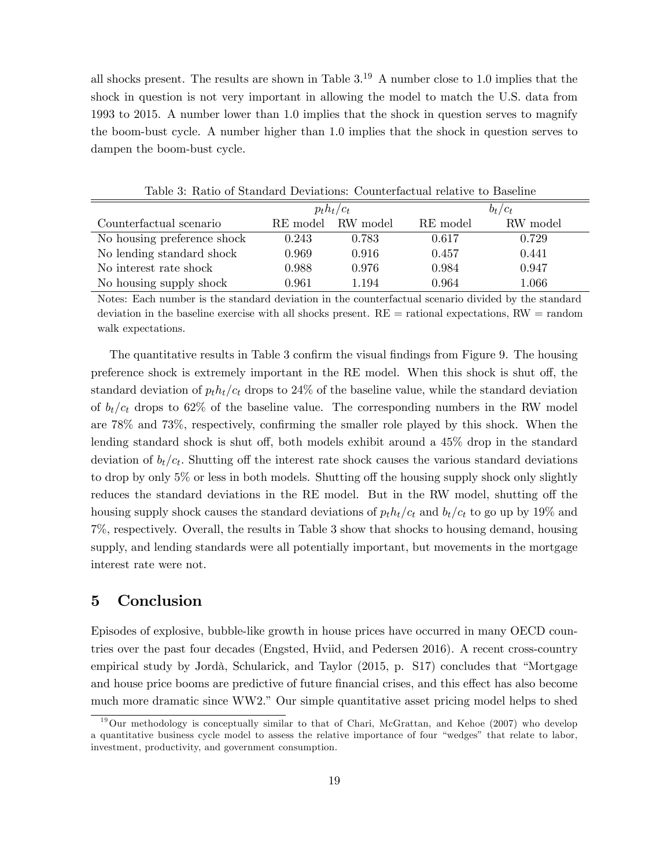all shocks present. The results are shown in Table  $3^{19}$  A number close to 1.0 implies that the shock in question is not very important in allowing the model to match the U.S. data from 1993 to 2015. A number lower than 1.0 implies that the shock in question serves to magnify the boom-bust cycle. A number higher than 1.0 implies that the shock in question serves to dampen the boom-bust cycle.

|                             |          | $p_th_t/c_t$ | $b_t/c_t$ |           |  |
|-----------------------------|----------|--------------|-----------|-----------|--|
| Counterfactual scenario     | RE model | RW model     | RE model  | RW model  |  |
| No housing preference shock | 0.243    | 0.783        | 0.617     | 0.729     |  |
| No lending standard shock   | 0.969    | 0.916        | 0.457     | 0.441     |  |
| No interest rate shock      | 0.988    | 0.976        | 0.984     | 0.947     |  |
| No housing supply shock     | 0.961    | 1.194        | 0.964     | $1.066\,$ |  |

Table 3: Ratio of Standard Deviations: Counterfactual relative to Baseline

Notes: Each number is the standard deviation in the counterfactual scenario divided by the standard deviation in the baseline exercise with all shocks present. RE = rational expectations, RW = random walk expectations.

The quantitative results in Table 3 confirm the visual findings from Figure 9. The housing preference shock is extremely important in the RE model. When this shock is shut off, the standard deviation of  $p_t h_t/c_t$  drops to 24% of the baseline value, while the standard deviation of  $b_t/c_t$  drops to 62% of the baseline value. The corresponding numbers in the RW model are  $78\%$  and  $73\%$ , respectively, confirming the smaller role played by this shock. When the lending standard shock is shut off, both models exhibit around a  $45\%$  drop in the standard deviation of  $b_t/c_t$ . Shutting off the interest rate shock causes the various standard deviations to drop by only  $5\%$  or less in both models. Shutting off the housing supply shock only slightly reduces the standard deviations in the RE model. But in the RW model, shutting off the housing supply shock causes the standard deviations of  $p_t h_t/c_t$  and  $b_t/c_t$  to go up by 19% and 7%, respectively. Overall, the results in Table 3 show that shocks to housing demand, housing supply, and lending standards were all potentially important, but movements in the mortgage interest rate were not.

### 5 Conclusion

Episodes of explosive, bubble-like growth in house prices have occurred in many OECD countries over the past four decades (Engsted, Hviid, and Pedersen 2016). A recent cross-country empirical study by Jordà, Schularick, and Taylor  $(2015, p. S17)$  concludes that "Mortgage and house price booms are predictive of future financial crises, and this effect has also become much more dramatic since  $WW2$ .<sup>n</sup> Our simple quantitative asset pricing model helps to shed

<sup>&</sup>lt;sup>19</sup>Our methodology is conceptually similar to that of Chari, McGrattan, and Kehoe (2007) who develop a quantitative business cycle model to assess the relative importance of four "wedges" that relate to labor, investment, productivity, and government consumption.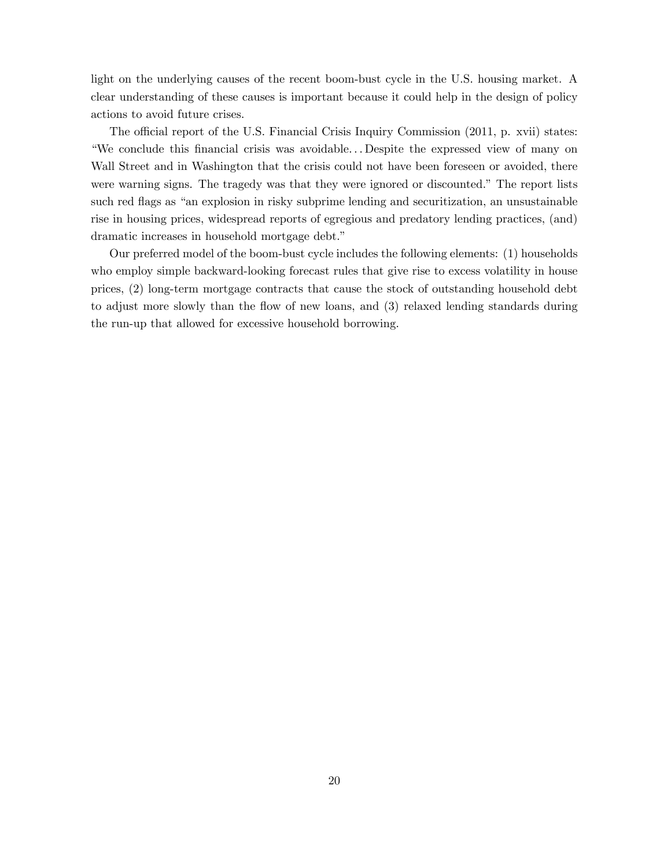light on the underlying causes of the recent boom-bust cycle in the U.S. housing market. A clear understanding of these causes is important because it could help in the design of policy actions to avoid future crises.

The official report of the U.S. Financial Crisis Inquiry Commission (2011, p. xvii) states: ìWe conclude this Önancial crisis was avoidable. . . Despite the expressed view of many on Wall Street and in Washington that the crisis could not have been foreseen or avoided, there were warning signs. The tragedy was that they were ignored or discounted." The report lists such red flags as "an explosion in risky subprime lending and securitization, an unsustainable rise in housing prices, widespread reports of egregious and predatory lending practices, (and) dramatic increases in household mortgage debt."

Our preferred model of the boom-bust cycle includes the following elements: (1) households who employ simple backward-looking forecast rules that give rise to excess volatility in house prices, (2) long-term mortgage contracts that cause the stock of outstanding household debt to adjust more slowly than the flow of new loans, and (3) relaxed lending standards during the run-up that allowed for excessive household borrowing.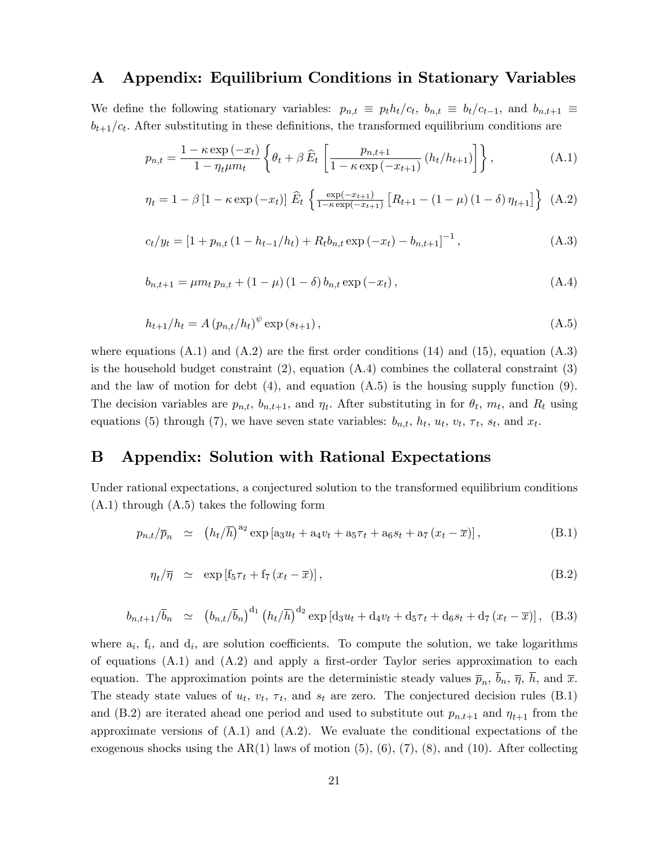### A Appendix: Equilibrium Conditions in Stationary Variables

We define the following stationary variables:  $p_{n,t} \equiv p_t h_t/c_t$ ,  $b_{n,t} \equiv b_t/c_{t-1}$ , and  $b_{n,t+1} \equiv$  $b_{t+1}/c_t$ . After substituting in these definitions, the transformed equilibrium conditions are

$$
p_{n,t} = \frac{1 - \kappa \exp\left(-x_t\right)}{1 - \eta_t \mu m_t} \left\{ \theta_t + \beta \,\widehat{E}_t \left[ \frac{p_{n,t+1}}{1 - \kappa \exp\left(-x_{t+1}\right)} \left(h_t/h_{t+1}\right) \right] \right\},\tag{A.1}
$$

$$
\eta_t = 1 - \beta \left[ 1 - \kappa \exp\left( -x_t \right) \right] \hat{E}_t \left\{ \frac{\exp(-x_{t+1})}{1 - \kappa \exp(-x_{t+1})} \left[ R_{t+1} - (1 - \mu) (1 - \delta) \eta_{t+1} \right] \right\} (A.2)
$$

$$
c_t/y_t = \left[1 + p_{n,t} \left(1 - \frac{h_{t-1}}{h_t}\right) + R_t b_{n,t} \exp\left(-x_t\right) - b_{n,t+1}\right]^{-1},\tag{A.3}
$$

$$
b_{n,t+1} = \mu m_t p_{n,t} + (1 - \mu) (1 - \delta) b_{n,t} \exp(-x_t), \qquad (A.4)
$$

$$
h_{t+1}/h_t = A (p_{n,t}/h_t)^{\psi} \exp(s_{t+1}), \qquad (A.5)
$$

where equations  $(A.1)$  and  $(A.2)$  are the first order conditions  $(14)$  and  $(15)$ , equation  $(A.3)$ is the household budget constraint  $(2)$ , equation  $(A.4)$  combines the collateral constraint  $(3)$ and the law of motion for debt  $(4)$ , and equation  $(A.5)$  is the housing supply function  $(9)$ . The decision variables are  $p_{n,t}$ ,  $b_{n,t+1}$ , and  $\eta_t$ . After substituting in for  $\theta_t$ ,  $m_t$ , and  $R_t$  using equations (5) through (7), we have seven state variables:  $b_{n,t}$ ,  $h_t$ ,  $u_t$ ,  $v_t$ ,  $\tau_t$ ,  $s_t$ , and  $x_t$ .

### B Appendix: Solution with Rational Expectations

Under rational expectations, a conjectured solution to the transformed equilibrium conditions (A.1) through (A.5) takes the following form

$$
p_{n,t}/\bar{p}_n \simeq (h_t/\bar{h})^{a_2} \exp \left[ a_3 u_t + a_4 v_t + a_5 \tau_t + a_6 s_t + a_7 (x_t - \bar{x}) \right], \tag{B.1}
$$

$$
\eta_t / \overline{\eta} \simeq \exp \left[ f_5 \tau_t + f_7 \left( x_t - \overline{x} \right) \right], \tag{B.2}
$$

$$
b_{n,t+1}/\bar{b}_n \simeq (b_{n,t}/\bar{b}_n)^{d_1} (h_t/\bar{h})^{d_2} \exp \left[ d_3 u_t + d_4 v_t + d_5 \tau_t + d_6 s_t + d_7 (x_t - \overline{x}) \right], \quad (B.3)
$$

where  $a_i$ ,  $f_i$ , and  $d_i$ , are solution coefficients. To compute the solution, we take logarithms of equations  $(A.1)$  and  $(A.2)$  and apply a first-order Taylor series approximation to each equation. The approximation points are the deterministic steady values  $\bar{p}_n$ ,  $b_n$ ,  $\bar{\eta}$ ,  $h$ , and  $\bar{x}$ . The steady state values of  $u_t$ ,  $v_t$ ,  $\tau_t$ , and  $s_t$  are zero. The conjectured decision rules (B.1) and (B.2) are iterated ahead one period and used to substitute out  $p_{n,t+1}$  and  $\eta_{t+1}$  from the approximate versions of  $(A.1)$  and  $(A.2)$ . We evaluate the conditional expectations of the exogenous shocks using the  $AR(1)$  laws of motion  $(5), (6), (7), (8)$ , and  $(10)$ . After collecting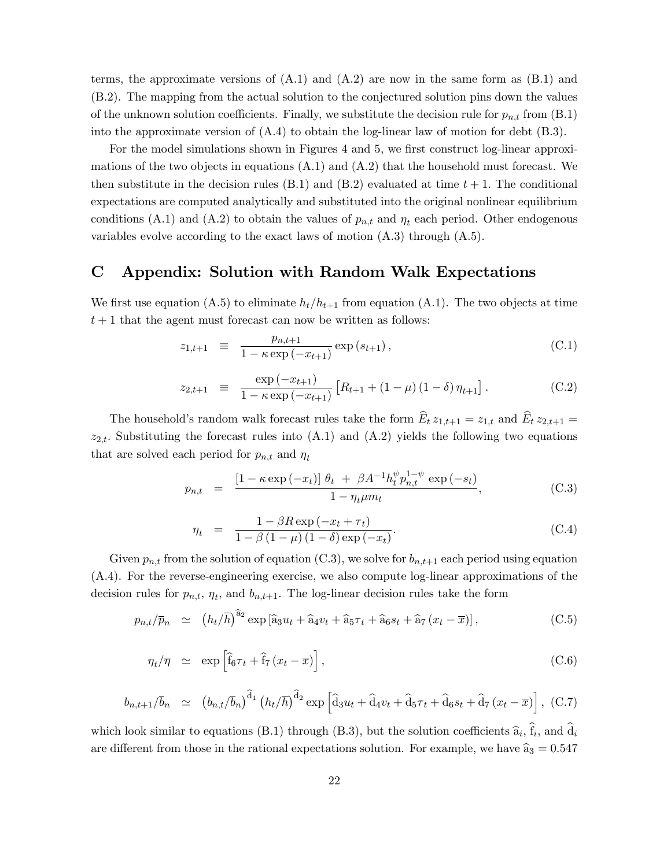terms, the approximate versions of  $(A.1)$  and  $(A.2)$  are now in the same form as  $(B.1)$  and (B.2). The mapping from the actual solution to the conjectured solution pins down the values of the unknown solution coefficients. Finally, we substitute the decision rule for  $p_{n,t}$  from (B.1) into the approximate version of  $(A.4)$  to obtain the log-linear law of motion for debt  $(B.3)$ .

For the model simulations shown in Figures 4 and 5, we first construct log-linear approximations of the two objects in equations  $(A.1)$  and  $(A.2)$  that the household must forecast. We then substitute in the decision rules (B.1) and (B.2) evaluated at time  $t + 1$ . The conditional expectations are computed analytically and substituted into the original nonlinear equilibrium conditions (A.1) and (A.2) to obtain the values of  $p_{n,t}$  and  $\eta_t$  each period. Other endogenous variables evolve according to the exact laws of motion  $(A.3)$  through  $(A.5)$ .

### C Appendix: Solution with Random Walk Expectations

We first use equation (A.5) to eliminate  $h_t/h_{t+1}$  from equation (A.1). The two objects at time  $t+1$  that the agent must forecast can now be written as follows:

$$
z_{1,t+1} \equiv \frac{p_{n,t+1}}{1 - \kappa \exp(-x_{t+1})} \exp(s_{t+1}), \tag{C.1}
$$

$$
z_{2,t+1} \equiv \frac{\exp(-x_{t+1})}{1 - \kappa \exp(-x_{t+1})} \left[ R_{t+1} + (1 - \mu) (1 - \delta) \eta_{t+1} \right]. \tag{C.2}
$$

The household's random walk forecast rules take the form  $\widehat{E}_t z_{1,t+1} = z_{1,t}$  and  $\widehat{E}_t z_{2,t+1} =$  $z_{2,t}$ . Substituting the forecast rules into (A.1) and (A.2) yields the following two equations that are solved each period for  $p_{n,t}$  and  $\eta_t$ 

$$
p_{n,t} = \frac{\left[1 - \kappa \exp\left(-x_t\right)\right] \theta_t + \beta A^{-1} h_t^{\psi} p_{n,t}^{1-\psi} \exp\left(-s_t\right)}{1 - \eta_t \mu m_t}, \tag{C.3}
$$

$$
\eta_t = \frac{1 - \beta R \exp\left(-x_t + \tau_t\right)}{1 - \beta \left(1 - \mu\right) \left(1 - \delta\right) \exp\left(-x_t\right)}.
$$
\n(C.4)

Given  $p_{n,t}$  from the solution of equation (C.3), we solve for  $b_{n,t+1}$  each period using equation (A.4). For the reverse-engineering exercise, we also compute log-linear approximations of the decision rules for  $p_{n,t}$ ,  $\eta_t$ , and  $b_{n,t+1}$ . The log-linear decision rules take the form

$$
p_{n,t}/\overline{p}_n \simeq (h_t/\overline{h})^{\widehat{a}_2} \exp\left[\widehat{a}_3 u_t + \widehat{a}_4 v_t + \widehat{a}_5 \tau_t + \widehat{a}_6 s_t + \widehat{a}_7 (x_t - \overline{x})\right],\tag{C.5}
$$

$$
\eta_t / \overline{\eta} \simeq \exp\left[\hat{f}_6 \tau_t + \hat{f}_7 \left(x_t - \overline{x}\right)\right],\tag{C.6}
$$

$$
b_{n,t+1}/\bar{b}_n \simeq (b_{n,t}/\bar{b}_n)^{\hat{d}_1} (h_t/\bar{h})^{\hat{d}_2} \exp\left[\hat{d}_3 u_t + \hat{d}_4 v_t + \hat{d}_5 \tau_t + \hat{d}_6 s_t + \hat{d}_7 (x_t - \overline{x})\right], (C.7)
$$

which look similar to equations (B.1) through (B.3), but the solution coefficients  $\hat{a}_i$ ,  $f_i$ , and  $d_i$ are different from those in the rational expectations solution. For example, we have  $\hat{a}_3 = 0.547$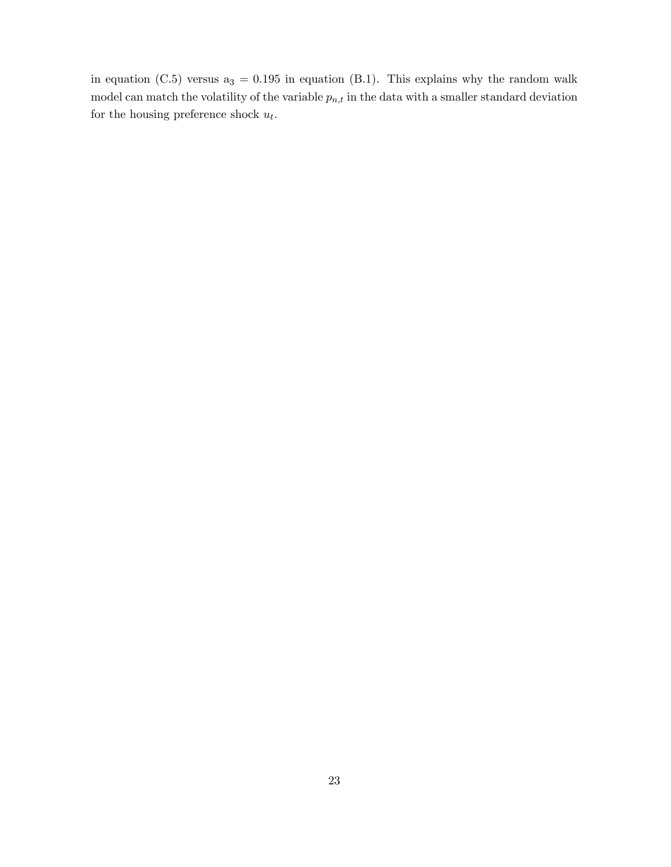in equation (C.5) versus  $a_3 = 0.195$  in equation (B.1). This explains why the random walk model can match the volatility of the variable  $p_{n,t}$  in the data with a smaller standard deviation for the housing preference shock  $u_t$ .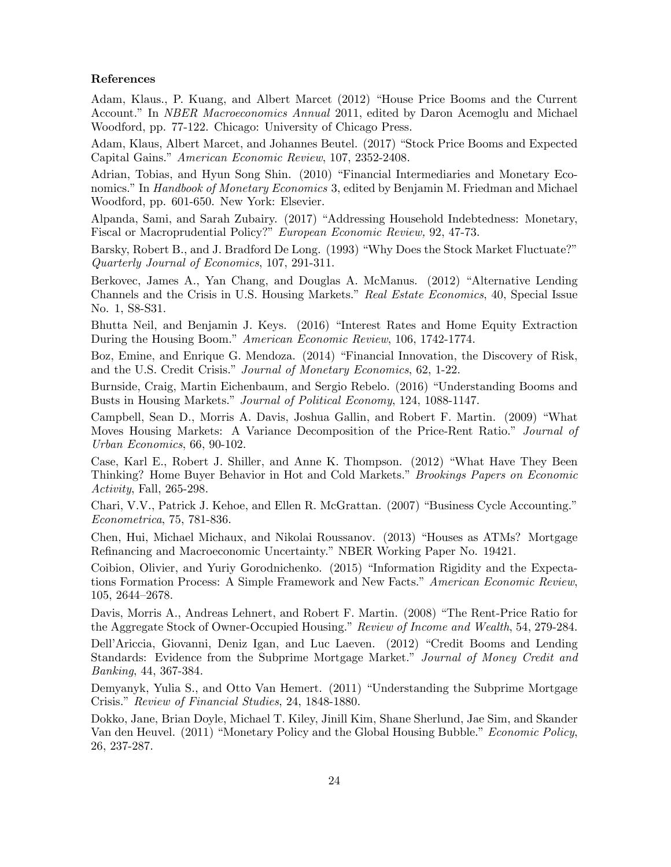#### References

Adam, Klaus., P. Kuang, and Albert Marcet (2012) "House Price Booms and the Current Account." In *NBER Macroeconomics Annual* 2011, edited by Daron Acemoglu and Michael Woodford, pp. 77-122. Chicago: University of Chicago Press.

Adam, Klaus, Albert Marcet, and Johannes Beutel. (2017) "Stock Price Booms and Expected Capital Gains." American Economic Review, 107, 2352-2408.

Adrian, Tobias, and Hyun Song Shin. (2010) "Financial Intermediaries and Monetary Economics." In Handbook of Monetary Economics 3, edited by Benjamin M. Friedman and Michael Woodford, pp. 601-650. New York: Elsevier.

Alpanda, Sami, and Sarah Zubairy. (2017) "Addressing Household Indebtedness: Monetary, Fiscal or Macroprudential Policy?" European Economic Review, 92, 47-73.

Barsky, Robert B., and J. Bradford De Long. (1993) "Why Does the Stock Market Fluctuate?" Quarterly Journal of Economics, 107, 291-311.

Berkovec, James A., Yan Chang, and Douglas A. McManus. (2012) "Alternative Lending Channels and the Crisis in U.S. Housing Markets." Real Estate Economics, 40, Special Issue No. 1, S8-S31.

Bhutta Neil, and Benjamin J. Keys. (2016) "Interest Rates and Home Equity Extraction During the Housing Boom." American Economic Review, 106, 1742-1774.

Boz, Emine, and Enrique G. Mendoza. (2014) "Financial Innovation, the Discovery of Risk, and the U.S. Credit Crisis." Journal of Monetary Economics, 62, 1-22.

Burnside, Craig, Martin Eichenbaum, and Sergio Rebelo. (2016) "Understanding Booms and Busts in Housing Markets." Journal of Political Economy, 124, 1088-1147.

Campbell, Sean D., Morris A. Davis, Joshua Gallin, and Robert F. Martin. (2009) "What Moves Housing Markets: A Variance Decomposition of the Price-Rent Ratio." Journal of Urban Economics, 66, 90-102.

Case, Karl E., Robert J. Shiller, and Anne K. Thompson. (2012) "What Have They Been Thinking? Home Buyer Behavior in Hot and Cold Markets.î Brookings Papers on Economic Activity, Fall, 265-298.

Chari, V.V., Patrick J. Kehoe, and Ellen R. McGrattan. (2007) "Business Cycle Accounting." Econometrica, 75, 781-836.

Chen, Hui, Michael Michaux, and Nikolai Roussanov. (2013) "Houses as ATMs? Mortgage Refinancing and Macroeconomic Uncertainty." NBER Working Paper No. 19421.

Coibion, Olivier, and Yuriy Gorodnichenko. (2015) "Information Rigidity and the Expectations Formation Process: A Simple Framework and New Facts." American Economic Review, 105, 2644–2678.

Davis, Morris A., Andreas Lehnert, and Robert F. Martin. (2008) "The Rent-Price Ratio for the Aggregate Stock of Owner-Occupied Housing." Review of Income and Wealth, 54, 279-284.

Dell'Ariccia, Giovanni, Deniz Igan, and Luc Laeven. (2012) "Credit Booms and Lending Standards: Evidence from the Subprime Mortgage Market." Journal of Money Credit and Banking, 44, 367-384.

Demyanyk, Yulia S., and Otto Van Hemert. (2011) "Understanding the Subprime Mortgage Crisis." Review of Financial Studies, 24, 1848-1880.

Dokko, Jane, Brian Doyle, Michael T. Kiley, Jinill Kim, Shane Sherlund, Jae Sim, and Skander Van den Heuvel. (2011) "Monetary Policy and the Global Housing Bubble." Economic Policy, 26, 237-287.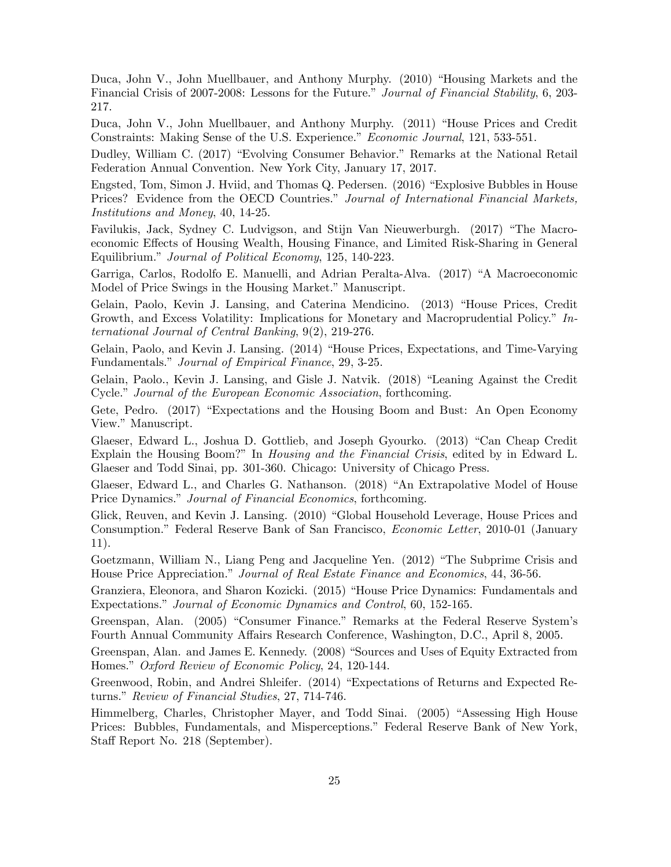Duca, John V., John Muellbauer, and Anthony Murphy. (2010) "Housing Markets and the Financial Crisis of 2007-2008: Lessons for the Future." Journal of Financial Stability, 6, 203-217.

Duca, John V., John Muellbauer, and Anthony Murphy. (2011) "House Prices and Credit Constraints: Making Sense of the U.S. Experience." Economic Journal, 121, 533-551.

Dudley, William C. (2017) "Evolving Consumer Behavior." Remarks at the National Retail Federation Annual Convention. New York City, January 17, 2017.

Engsted, Tom, Simon J. Hviid, and Thomas Q. Pedersen. (2016) "Explosive Bubbles in House Prices? Evidence from the OECD Countries." Journal of International Financial Markets, Institutions and Money, 40, 14-25.

Favilukis, Jack, Sydney C. Ludvigson, and Stijn Van Nieuwerburgh. (2017) "The Macroeconomic Effects of Housing Wealth, Housing Finance, and Limited Risk-Sharing in General Equilibrium." Journal of Political Economy, 125, 140-223.

Garriga, Carlos, Rodolfo E. Manuelli, and Adrian Peralta-Alva. (2017) "A Macroeconomic Model of Price Swings in the Housing Market." Manuscript.

Gelain, Paolo, Kevin J. Lansing, and Caterina Mendicino. (2013) "House Prices, Credit Growth, and Excess Volatility: Implications for Monetary and Macroprudential Policy.<sup>n</sup> International Journal of Central Banking, 9(2), 219-276.

Gelain, Paolo, and Kevin J. Lansing. (2014) "House Prices, Expectations, and Time-Varying Fundamentals." Journal of Empirical Finance, 29, 3-25.

Gelain, Paolo., Kevin J. Lansing, and Gisle J. Natvik. (2018) "Leaning Against the Credit Cycle." Journal of the European Economic Association, forthcoming.

Gete, Pedro. (2017) "Expectations and the Housing Boom and Bust: An Open Economy View." Manuscript.

Glaeser, Edward L., Joshua D. Gottlieb, and Joseph Gyourko. (2013) "Can Cheap Credit Explain the Housing Boom?" In *Housing and the Financial Crisis*, edited by in Edward L. Glaeser and Todd Sinai, pp. 301-360. Chicago: University of Chicago Press.

Glaeser, Edward L., and Charles G. Nathanson. (2018) "An Extrapolative Model of House Price Dynamics." Journal of Financial Economics, forthcoming.

Glick, Reuven, and Kevin J. Lansing. (2010) "Global Household Leverage, House Prices and Consumption." Federal Reserve Bank of San Francisco, *Economic Letter*, 2010-01 (January 11).

Goetzmann, William N., Liang Peng and Jacqueline Yen. (2012) "The Subprime Crisis and House Price Appreciation." Journal of Real Estate Finance and Economics, 44, 36-56.

Granziera, Eleonora, and Sharon Kozicki. (2015) "House Price Dynamics: Fundamentals and Expectations." Journal of Economic Dynamics and Control, 60, 152-165.

Greenspan, Alan. (2005) "Consumer Finance." Remarks at the Federal Reserve System's Fourth Annual Community Affairs Research Conference, Washington, D.C., April 8, 2005.

Greenspan, Alan. and James E. Kennedy. (2008) "Sources and Uses of Equity Extracted from Homes." Oxford Review of Economic Policy, 24, 120-144.

Greenwood, Robin, and Andrei Shleifer. (2014) "Expectations of Returns and Expected Returns." Review of Financial Studies, 27, 714-746.

Himmelberg, Charles, Christopher Mayer, and Todd Sinai. (2005) "Assessing High House Prices: Bubbles, Fundamentals, and Misperceptions." Federal Reserve Bank of New York, Staff Report No. 218 (September).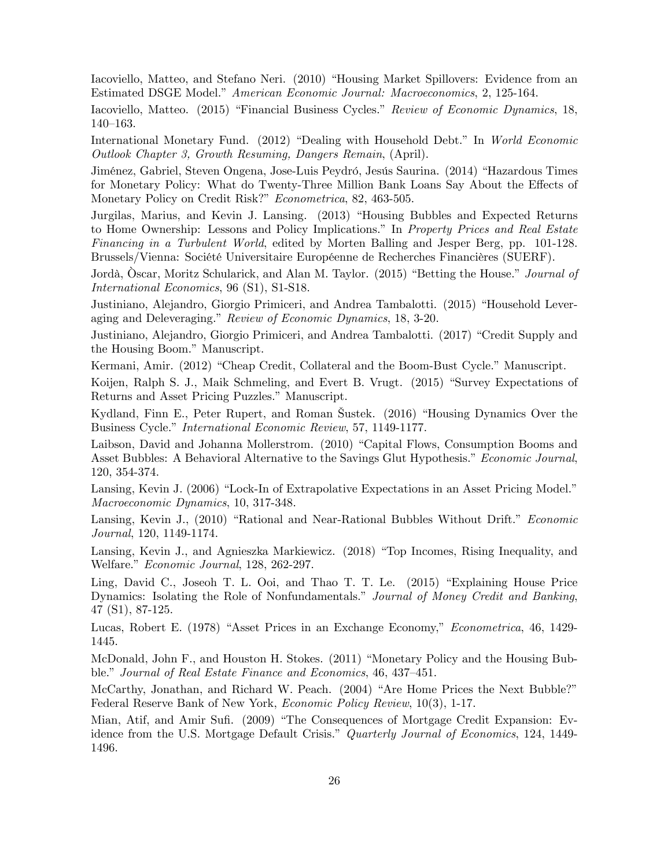Iacoviello, Matteo, and Stefano Neri. (2010) "Housing Market Spillovers: Evidence from an Estimated DSGE Model." American Economic Journal: Macroeconomics, 2, 125-164.

Iacoviello, Matteo. (2015) "Financial Business Cycles." Review of Economic Dynamics, 18,  $140 - 163.$ 

International Monetary Fund. (2012) "Dealing with Household Debt." In World Economic Outlook Chapter 3, Growth Resuming, Dangers Remain, (April).

Jiménez, Gabriel, Steven Ongena, Jose-Luis Peydró, Jesús Saurina. (2014) "Hazardous Times for Monetary Policy: What do Twenty-Three Million Bank Loans Say About the Effects of Monetary Policy on Credit Risk?" Econometrica, 82, 463-505.

Jurgilas, Marius, and Kevin J. Lansing. (2013) "Housing Bubbles and Expected Returns to Home Ownership: Lessons and Policy Implications." In Property Prices and Real Estate Financing in a Turbulent World, edited by Morten Balling and Jesper Berg, pp. 101-128. Brussels/Vienna: Société Universitaire Européenne de Recherches Financières (SUERF).

Jordà, Oscar, Moritz Schularick, and Alan M. Taylor. (2015) "Betting the House." *Journal of* International Economics, 96 (S1), S1-S18.

Justiniano, Alejandro, Giorgio Primiceri, and Andrea Tambalotti. (2015) "Household Leveraging and Deleveraging." Review of Economic Dynamics, 18, 3-20.

Justiniano, Alejandro, Giorgio Primiceri, and Andrea Tambalotti. (2017) "Credit Supply and the Housing Boom." Manuscript.

Kermani, Amir. (2012) "Cheap Credit, Collateral and the Boom-Bust Cycle." Manuscript.

Koijen, Ralph S. J., Maik Schmeling, and Evert B. Vrugt. (2015) "Survey Expectations of Returns and Asset Pricing Puzzles." Manuscript.

Kydland, Finn E., Peter Rupert, and Roman Šustek. (2016) "Housing Dynamics Over the Business Cycle." International Economic Review, 57, 1149-1177.

Laibson, David and Johanna Mollerstrom. (2010) "Capital Flows, Consumption Booms and Asset Bubbles: A Behavioral Alternative to the Savings Glut Hypothesis." Economic Journal, 120, 354-374.

Lansing, Kevin J. (2006) "Lock-In of Extrapolative Expectations in an Asset Pricing Model." Macroeconomic Dynamics, 10, 317-348.

Lansing, Kevin J., (2010) "Rational and Near-Rational Bubbles Without Drift." Economic Journal, 120, 1149-1174.

Lansing, Kevin J., and Agnieszka Markiewicz. (2018) "Top Incomes, Rising Inequality, and Welfare." Economic Journal, 128, 262-297.

Ling, David C., Joseoh T. L. Ooi, and Thao T. T. Le. (2015) "Explaining House Price Dynamics: Isolating the Role of Nonfundamentals." Journal of Money Credit and Banking, 47 (S1), 87-125.

Lucas, Robert E. (1978) "Asset Prices in an Exchange Economy," *Econometrica*, 46, 1429-1445.

McDonald, John F., and Houston H. Stokes. (2011) "Monetary Policy and the Housing Bubble." Journal of Real Estate Finance and Economics, 46, 437–451.

McCarthy, Jonathan, and Richard W. Peach. (2004) "Are Home Prices the Next Bubble?" Federal Reserve Bank of New York, Economic Policy Review, 10(3), 1-17.

Mian, Atif, and Amir Sufi. (2009) "The Consequences of Mortgage Credit Expansion: Evidence from the U.S. Mortgage Default Crisis." Quarterly Journal of Economics, 124, 1449-1496.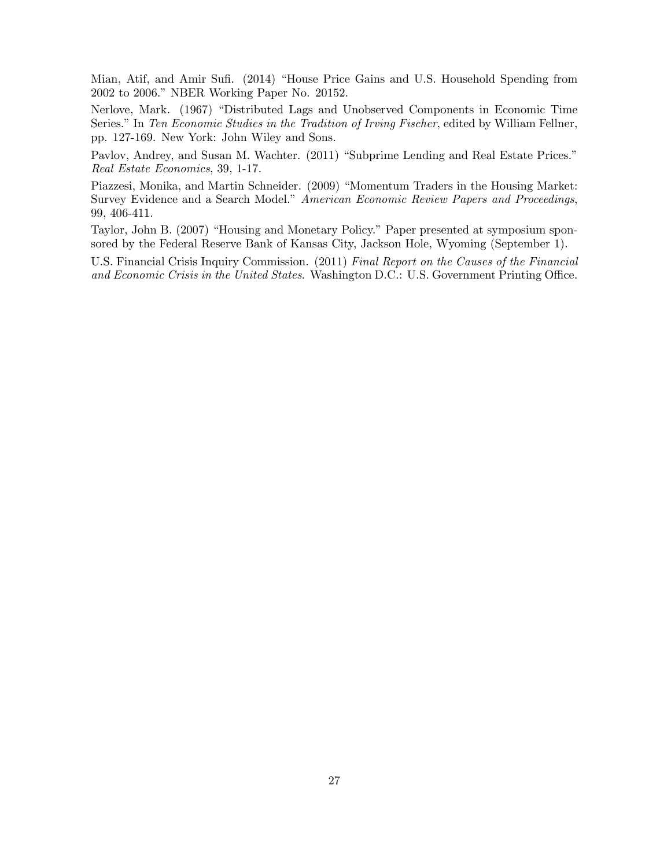Mian, Atif, and Amir Sufi. (2014) "House Price Gains and U.S. Household Spending from 2002 to 2006." NBER Working Paper No. 20152.

Nerlove, Mark. (1967) "Distributed Lags and Unobserved Components in Economic Time Series." In Ten Economic Studies in the Tradition of Irving Fischer, edited by William Fellner, pp. 127-169. New York: John Wiley and Sons.

Pavlov, Andrey, and Susan M. Wachter. (2011) "Subprime Lending and Real Estate Prices." Real Estate Economics, 39, 1-17.

Piazzesi, Monika, and Martin Schneider. (2009) "Momentum Traders in the Housing Market: Survey Evidence and a Search Model." American Economic Review Papers and Proceedings, 99, 406-411.

Taylor, John B. (2007) "Housing and Monetary Policy." Paper presented at symposium sponsored by the Federal Reserve Bank of Kansas City, Jackson Hole, Wyoming (September 1).

U.S. Financial Crisis Inquiry Commission. (2011) Final Report on the Causes of the Financial and Economic Crisis in the United States. Washington D.C.: U.S. Government Printing Office.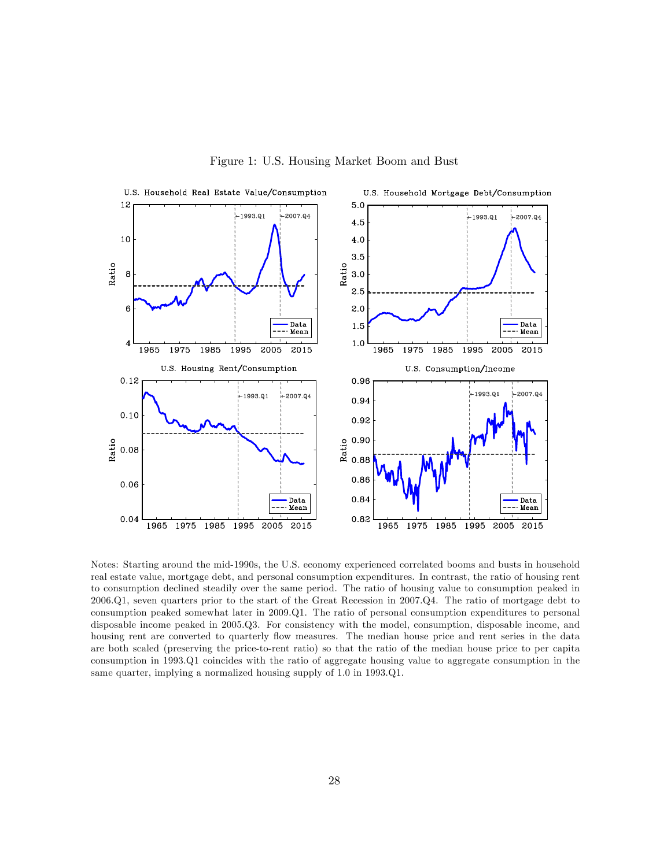

Figure 1: U.S. Housing Market Boom and Bust

Notes: Starting around the mid-1990s, the U.S. economy experienced correlated booms and busts in household real estate value, mortgage debt, and personal consumption expenditures. In contrast, the ratio of housing rent to consumption declined steadily over the same period. The ratio of housing value to consumption peaked in 2006.Q1, seven quarters prior to the start of the Great Recession in 2007.Q4. The ratio of mortgage debt to consumption peaked somewhat later in 2009.Q1. The ratio of personal consumption expenditures to personal disposable income peaked in 2005.Q3. For consistency with the model, consumption, disposable income, and housing rent are converted to quarterly flow measures. The median house price and rent series in the data are both scaled (preserving the price-to-rent ratio) so that the ratio of the median house price to per capita consumption in 1993.Q1 coincides with the ratio of aggregate housing value to aggregate consumption in the same quarter, implying a normalized housing supply of 1.0 in 1993.Q1.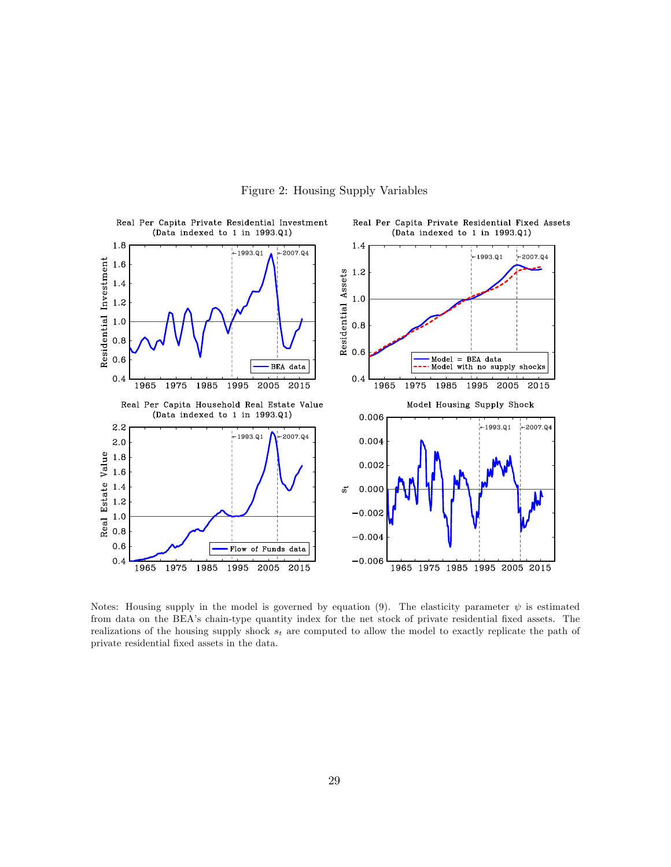

Figure 2: Housing Supply Variables

Notes: Housing supply in the model is governed by equation (9). The elasticity parameter  $\psi$  is estimated from data on the BEA's chain-type quantity index for the net stock of private residential fixed assets. The realizations of the housing supply shock  $s_t$  are computed to allow the model to exactly replicate the path of private residential Öxed assets in the data.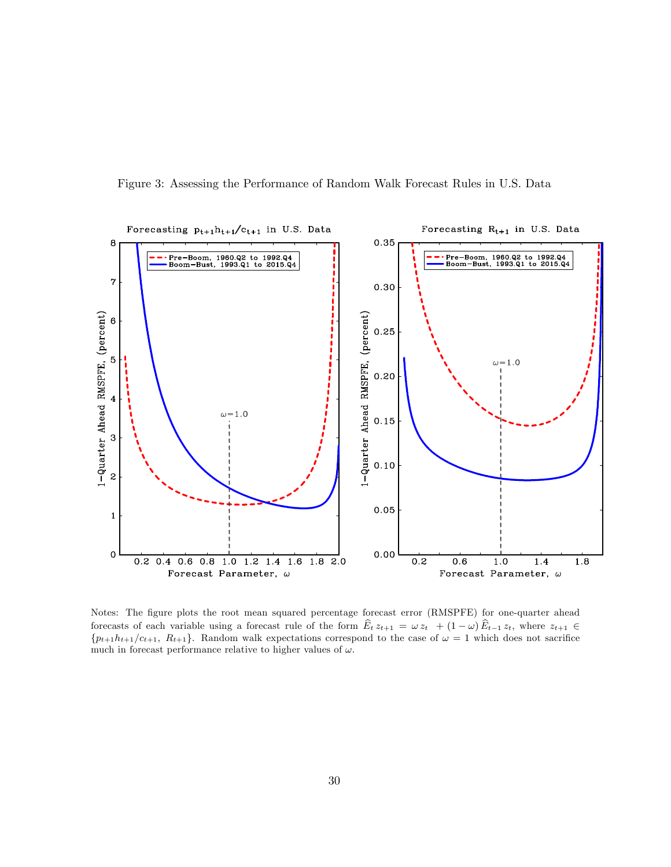



Notes: The figure plots the root mean squared percentage forecast error (RMSPFE) for one-quarter ahead forecasts of each variable using a forecast rule of the form  $E_t z_{t+1} = \omega z_t + (1 - \omega) E_{t-1} z_t$ , where  $z_{t+1} \in$  ${p_{t+1}}h_{t+1}/c_{t+1}, R_{t+1}$ . Random walk expectations correspond to the case of  $\omega = 1$  which does not sacrifice much in forecast performance relative to higher values of  $\omega$ .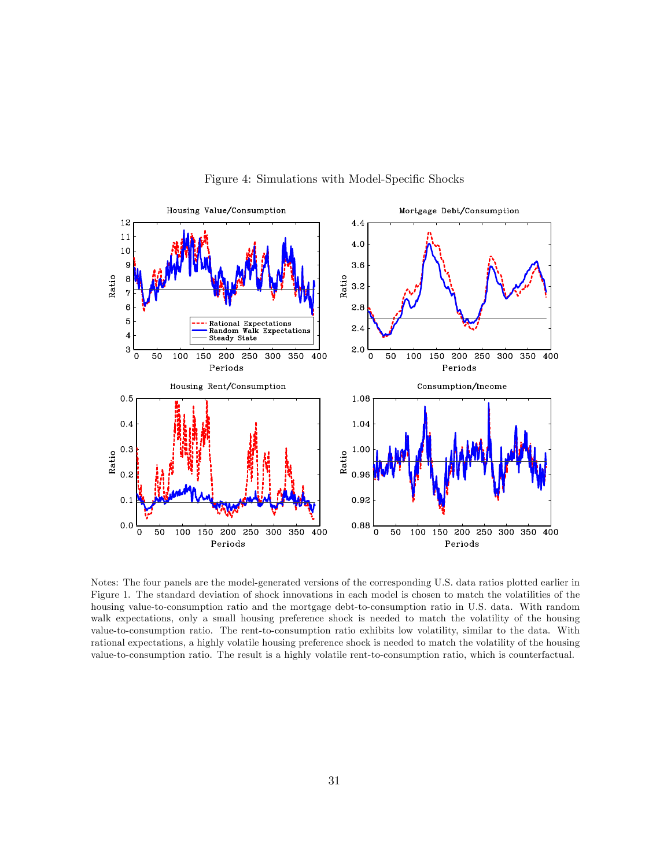

Figure 4: Simulations with Model-Specific Shocks

Notes: The four panels are the model-generated versions of the corresponding U.S. data ratios plotted earlier in Figure 1. The standard deviation of shock innovations in each model is chosen to match the volatilities of the housing value-to-consumption ratio and the mortgage debt-to-consumption ratio in U.S. data. With random walk expectations, only a small housing preference shock is needed to match the volatility of the housing value-to-consumption ratio. The rent-to-consumption ratio exhibits low volatility, similar to the data. With rational expectations, a highly volatile housing preference shock is needed to match the volatility of the housing value-to-consumption ratio. The result is a highly volatile rent-to-consumption ratio, which is counterfactual.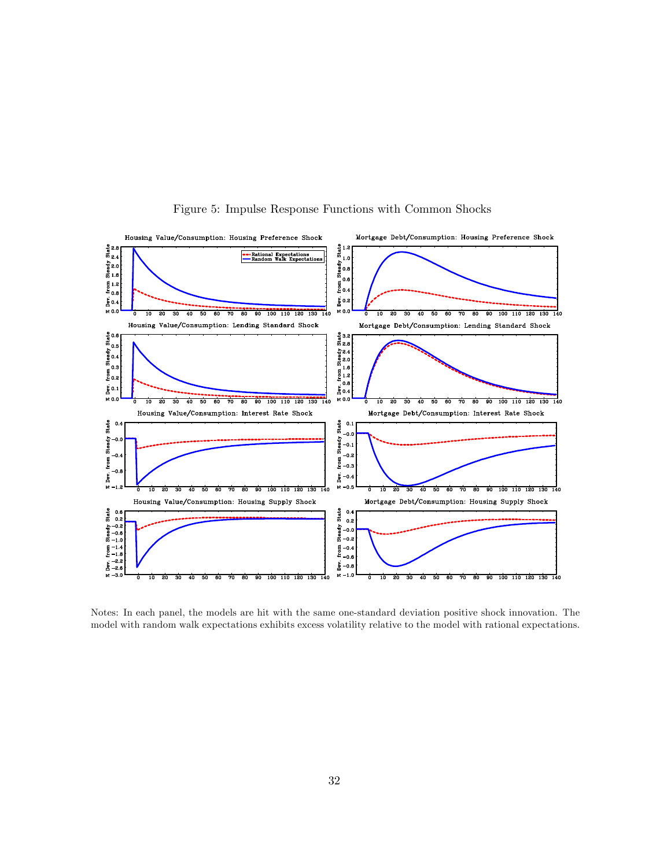

Figure 5: Impulse Response Functions with Common Shocks

Notes: In each panel, the models are hit with the same one-standard deviation positive shock innovation. The model with random walk expectations exhibits excess volatility relative to the model with rational expectations.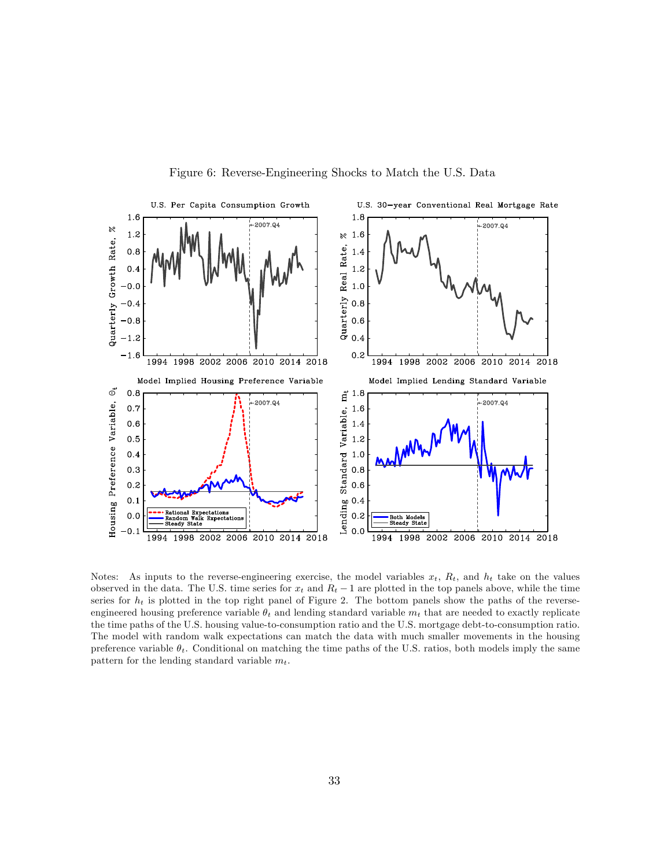

Figure 6: Reverse-Engineering Shocks to Match the U.S. Data

Notes: As inputs to the reverse-engineering exercise, the model variables  $x_t$ ,  $R_t$ , and  $h_t$  take on the values observed in the data. The U.S. time series for  $x_t$  and  $R_t - 1$  are plotted in the top panels above, while the time series for  $h_t$  is plotted in the top right panel of Figure 2. The bottom panels show the paths of the reverseengineered housing preference variable  $\theta_t$  and lending standard variable  $m_t$  that are needed to exactly replicate the time paths of the U.S. housing value-to-consumption ratio and the U.S. mortgage debt-to-consumption ratio. The model with random walk expectations can match the data with much smaller movements in the housing preference variable  $\theta_t$ . Conditional on matching the time paths of the U.S. ratios, both models imply the same pattern for the lending standard variable  $m_t$ .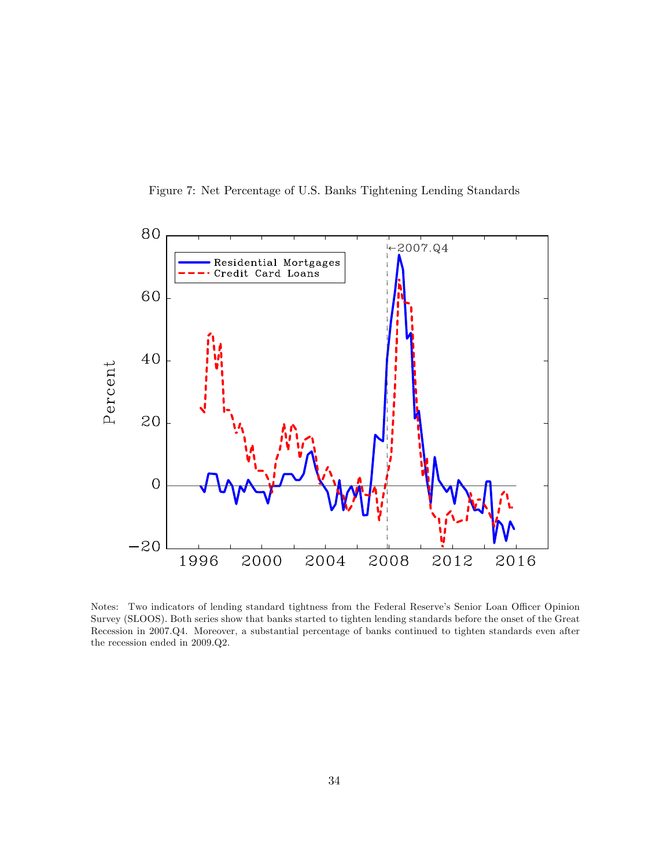



Notes: Two indicators of lending standard tightness from the Federal Reserve's Senior Loan Officer Opinion Survey (SLOOS). Both series show that banks started to tighten lending standards before the onset of the Great Recession in 2007.Q4. Moreover, a substantial percentage of banks continued to tighten standards even after the recession ended in 2009.Q2.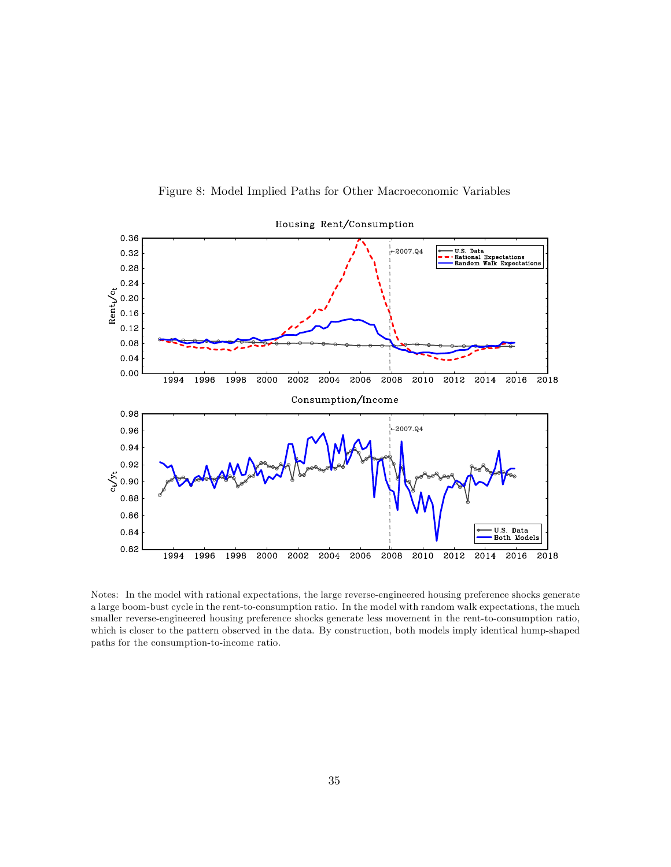

Figure 8: Model Implied Paths for Other Macroeconomic Variables

Notes: In the model with rational expectations, the large reverse-engineered housing preference shocks generate a large boom-bust cycle in the rent-to-consumption ratio. In the model with random walk expectations, the much smaller reverse-engineered housing preference shocks generate less movement in the rent-to-consumption ratio, which is closer to the pattern observed in the data. By construction, both models imply identical hump-shaped paths for the consumption-to-income ratio.